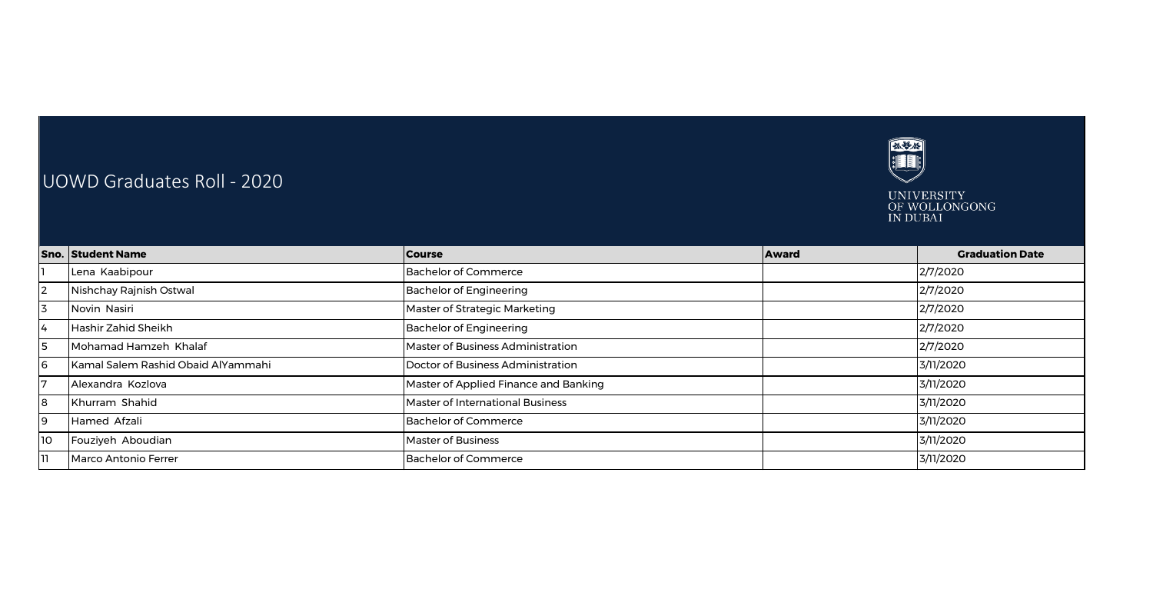

## UOWD Graduates Roll - 2020

UNIVERSITY<br>OF WOLLONGONG<br>IN DUBAI

|                 | <b>Sno. Student Name</b>           | <b>Course</b>                           | <b>Award</b> | <b>Graduation Date</b> |
|-----------------|------------------------------------|-----------------------------------------|--------------|------------------------|
|                 | Lena Kaabipour                     | Bachelor of Commerce                    |              | 2/7/2020               |
| 12              | Nishchay Rajnish Ostwal            | Bachelor of Engineering                 |              | 2/7/2020               |
| l3              | Novin Nasiri                       | Master of Strategic Marketing           |              | 2/7/2020               |
| I4              | Hashir Zahid Sheikh                | <b>Bachelor of Engineering</b>          |              | 2/7/2020               |
| $\overline{5}$  | Mohamad Hamzeh Khalaf              | Master of Business Administration       |              | 2/7/2020               |
| l6              | Kamal Salem Rashid Obaid AlYammahi | Doctor of Business Administration       |              | 3/11/2020              |
| 17              | Alexandra Kozlova                  | Master of Applied Finance and Banking   |              | 3/11/2020              |
| 8               | Khurram Shahid                     | <b>Master of International Business</b> |              | 3/11/2020              |
| 19              | Hamed Afzali                       | <b>Bachelor of Commerce</b>             |              | 3/11/2020              |
| 10 <sup>o</sup> | Fouziyeh Aboudian                  | <b>Master of Business</b>               |              | 3/11/2020              |
| וו              | Marco Antonio Ferrer               | <b>Bachelor of Commerce</b>             |              | 3/11/2020              |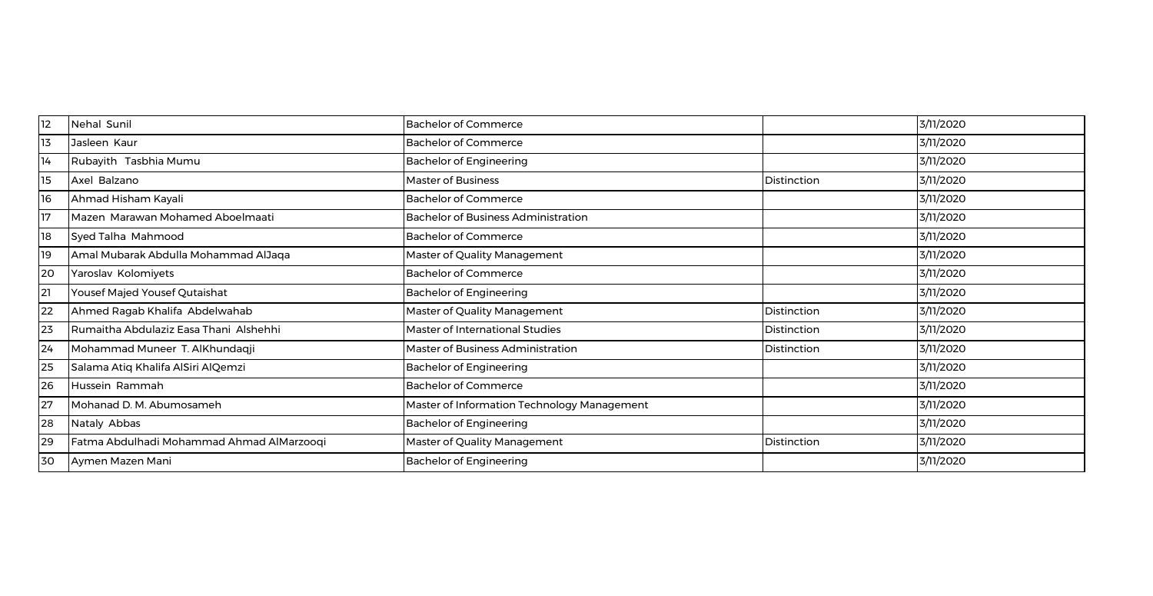| 12 | Nehal Sunil                               | <b>Bachelor of Commerce</b>                 |             | 3/11/2020 |
|----|-------------------------------------------|---------------------------------------------|-------------|-----------|
| 13 | Jasleen Kaur                              | <b>Bachelor of Commerce</b>                 |             | 3/11/2020 |
| 14 | Rubayith Tasbhia Mumu                     | <b>Bachelor of Engineering</b>              |             | 3/11/2020 |
| 15 | Axel Balzano                              | <b>Master of Business</b>                   | Distinction | 3/11/2020 |
| 16 | Ahmad Hisham Kayali                       | <b>Bachelor of Commerce</b>                 |             | 3/11/2020 |
| 17 | Mazen Marawan Mohamed Aboelmaati          | <b>Bachelor of Business Administration</b>  |             | 3/11/2020 |
| 18 | Syed Talha Mahmood                        | <b>Bachelor of Commerce</b>                 |             | 3/11/2020 |
| 19 | Amal Mubarak Abdulla Mohammad AlJaqa      | Master of Quality Management                |             | 3/11/2020 |
| 20 | Yaroslav Kolomiyets                       | <b>Bachelor of Commerce</b>                 |             | 3/11/2020 |
| 21 | Yousef Majed Yousef Qutaishat             | <b>Bachelor of Engineering</b>              |             | 3/11/2020 |
| 22 | Ahmed Ragab Khalifa Abdelwahab            | Master of Quality Management                | Distinction | 3/11/2020 |
| 23 | Rumaitha Abdulaziz Easa Thani Alshehhi    | Master of International Studies             | Distinction | 3/11/2020 |
| 24 | Mohammad Muneer T. AlKhundaqji            | Master of Business Administration           | Distinction | 3/11/2020 |
| 25 | Salama Atiq Khalifa AlSiri AlQemzi        | <b>Bachelor of Engineering</b>              |             | 3/11/2020 |
| 26 | Hussein Rammah                            | <b>Bachelor of Commerce</b>                 |             | 3/11/2020 |
| 27 | Mohanad D. M. Abumosameh                  | Master of Information Technology Management |             | 3/11/2020 |
| 28 | Nataly Abbas                              | <b>Bachelor of Engineering</b>              |             | 3/11/2020 |
| 29 | Fatma Abdulhadi Mohammad Ahmad AlMarzooqi | Master of Quality Management                | Distinction | 3/11/2020 |
| 30 | Aymen Mazen Mani                          | <b>Bachelor of Engineering</b>              |             | 3/11/2020 |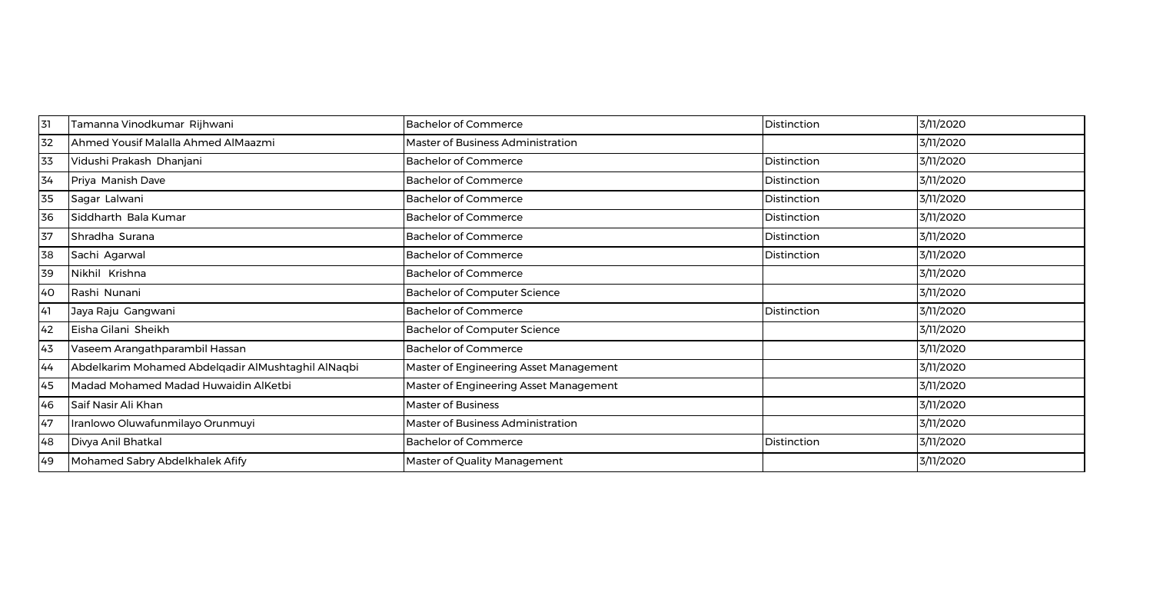| 31 | Tamanna Vinodkumar Rijhwani                        | <b>Bachelor of Commerce</b>              | Distinction | 3/11/2020 |
|----|----------------------------------------------------|------------------------------------------|-------------|-----------|
| 32 | Ahmed Yousif Malalla Ahmed AlMaazmi                | <b>Master of Business Administration</b> |             | 3/11/2020 |
| 33 | Vidushi Prakash Dhanjani                           | <b>Bachelor of Commerce</b>              | Distinction | 3/11/2020 |
| 34 | Priya Manish Dave                                  | <b>Bachelor of Commerce</b>              | Distinction | 3/11/2020 |
| 35 | Sagar Lalwani                                      | <b>Bachelor of Commerce</b>              | Distinction | 3/11/2020 |
| 36 | Siddharth Bala Kumar                               | <b>Bachelor of Commerce</b>              | Distinction | 3/11/2020 |
| 37 | Shradha Surana                                     | <b>Bachelor of Commerce</b>              | Distinction | 3/11/2020 |
| 38 | Sachi Agarwal                                      | <b>Bachelor of Commerce</b>              | Distinction | 3/11/2020 |
| 39 | Nikhil Krishna                                     | <b>Bachelor of Commerce</b>              |             | 3/11/2020 |
| 40 | Rashi Nunani                                       | <b>Bachelor of Computer Science</b>      |             | 3/11/2020 |
| 41 | Jaya Raju Gangwani                                 | <b>Bachelor of Commerce</b>              | Distinction | 3/11/2020 |
| 42 | Eisha Gilani Sheikh                                | <b>Bachelor of Computer Science</b>      |             | 3/11/2020 |
| 43 | Vaseem Arangathparambil Hassan                     | <b>Bachelor of Commerce</b>              |             | 3/11/2020 |
| 44 | Abdelkarim Mohamed Abdelqadir AlMushtaghil AlNaqbi | Master of Engineering Asset Management   |             | 3/11/2020 |
| 45 | Madad Mohamed Madad Huwaidin AlKetbi               | Master of Engineering Asset Management   |             | 3/11/2020 |
| 46 | Saif Nasir Ali Khan                                | <b>Master of Business</b>                |             | 3/11/2020 |
| 47 | Iranlowo Oluwafunmilayo Orunmuyi                   | Master of Business Administration        |             | 3/11/2020 |
| 48 | Divya Anil Bhatkal                                 | <b>Bachelor of Commerce</b>              | Distinction | 3/11/2020 |
| 49 | Mohamed Sabry Abdelkhalek Afify                    | Master of Quality Management             |             | 3/11/2020 |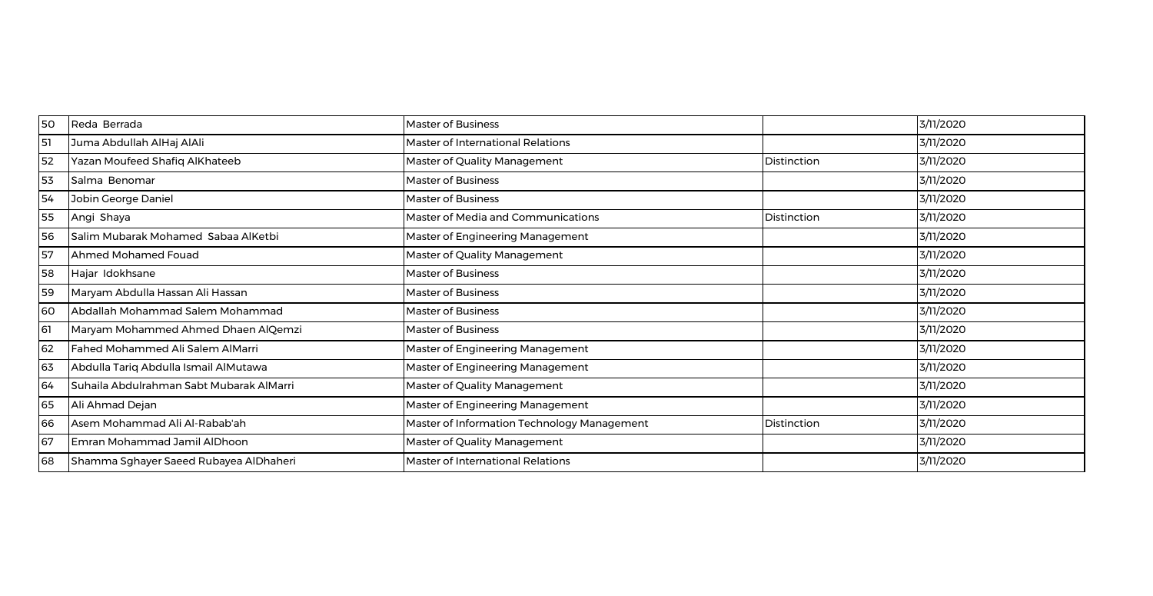| 50  | Reda Berrada                             | <b>Master of Business</b>                   |             | 3/11/2020 |
|-----|------------------------------------------|---------------------------------------------|-------------|-----------|
| 51  | Juma Abdullah AlHaj AlAli                | Master of International Relations           |             | 3/11/2020 |
| 52  | Yazan Moufeed Shafiq AlKhateeb           | Master of Quality Management                | Distinction | 3/11/2020 |
| 53  | Salma Benomar                            | <b>Master of Business</b>                   |             | 3/11/2020 |
| 54  | Jobin George Daniel                      | <b>Master of Business</b>                   |             | 3/11/2020 |
| 55  | Angi Shaya                               | Master of Media and Communications          | Distinction | 3/11/2020 |
| 56  | Salim Mubarak Mohamed Sabaa AlKetbi      | Master of Engineering Management            |             | 3/11/2020 |
| 57  | Ahmed Mohamed Fouad                      | Master of Quality Management                |             | 3/11/2020 |
| 58  | Hajar Idokhsane                          | <b>Master of Business</b>                   |             | 3/11/2020 |
| 59  | Maryam Abdulla Hassan Ali Hassan         | <b>Master of Business</b>                   |             | 3/11/2020 |
| 60  | Abdallah Mohammad Salem Mohammad         | <b>Master of Business</b>                   |             | 3/11/2020 |
| -61 | Maryam Mohammed Ahmed Dhaen AlQemzi      | <b>Master of Business</b>                   |             | 3/11/2020 |
| 62  | Fahed Mohammed Ali Salem AlMarri         | Master of Engineering Management            |             | 3/11/2020 |
| 63  | Abdulla Tariq Abdulla Ismail AlMutawa    | Master of Engineering Management            |             | 3/11/2020 |
| 64  | Suhaila Abdulrahman Sabt Mubarak AlMarri | Master of Quality Management                |             | 3/11/2020 |
| 65  | Ali Ahmad Dejan                          | Master of Engineering Management            |             | 3/11/2020 |
| 66  | Asem Mohammad Ali Al-Rabab'ah            | Master of Information Technology Management | Distinction | 3/11/2020 |
| 67  | Emran Mohammad Jamil AlDhoon             | Master of Quality Management                |             | 3/11/2020 |
| 68  | Shamma Sghayer Saeed Rubayea AlDhaheri   | <b>Master of International Relations</b>    |             | 3/11/2020 |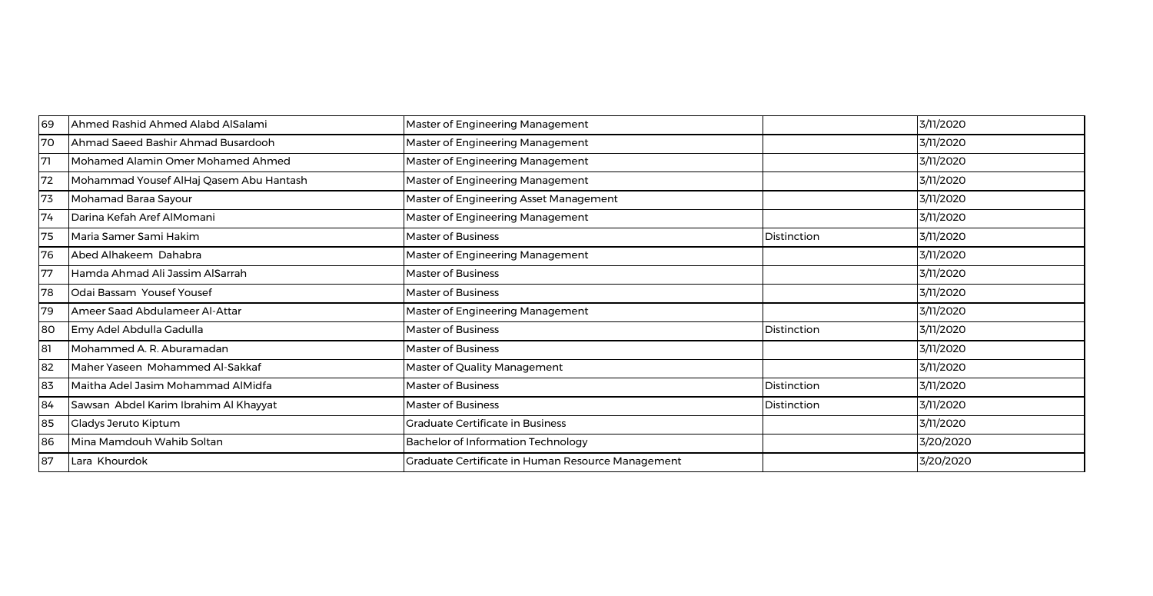| 69 | Ahmed Rashid Ahmed Alabd AlSalami       | Master of Engineering Management                  |             | 3/11/2020 |
|----|-----------------------------------------|---------------------------------------------------|-------------|-----------|
| 70 | Ahmad Saeed Bashir Ahmad Busardooh      | Master of Engineering Management                  |             | 3/11/2020 |
| 71 | Mohamed Alamin Omer Mohamed Ahmed       | Master of Engineering Management                  |             | 3/11/2020 |
| 72 | Mohammad Yousef AlHaj Qasem Abu Hantash | Master of Engineering Management                  |             | 3/11/2020 |
| 73 | Mohamad Baraa Sayour                    | Master of Engineering Asset Management            |             | 3/11/2020 |
| 74 | Darina Kefah Aref AlMomani              | Master of Engineering Management                  |             | 3/11/2020 |
| 75 | Maria Samer Sami Hakim                  | <b>Master of Business</b>                         | Distinction | 3/11/2020 |
| 76 | Abed Alhakeem Dahabra                   | Master of Engineering Management                  |             | 3/11/2020 |
| 77 | Hamda Ahmad Ali Jassim AlSarrah         | Master of Business                                |             | 3/11/2020 |
| 78 | Odai Bassam Yousef Yousef               | Master of Business                                |             | 3/11/2020 |
| 79 | Ameer Saad Abdulameer Al-Attar          | Master of Engineering Management                  |             | 3/11/2020 |
| 80 | Emy Adel Abdulla Gadulla                | <b>Master of Business</b>                         | Distinction | 3/11/2020 |
| 81 | Mohammed A. R. Aburamadan               | <b>Master of Business</b>                         |             | 3/11/2020 |
| 82 | Maher Yaseen Mohammed Al-Sakkaf         | Master of Quality Management                      |             | 3/11/2020 |
| 83 | Maitha Adel Jasim Mohammad AlMidfa      | <b>Master of Business</b>                         | Distinction | 3/11/2020 |
| 84 | Sawsan Abdel Karim Ibrahim Al Khayyat   | Master of Business                                | Distinction | 3/11/2020 |
| 85 | Gladys Jeruto Kiptum                    | <b>Graduate Certificate in Business</b>           |             | 3/11/2020 |
| 86 | Mina Mamdouh Wahib Soltan               | <b>Bachelor of Information Technology</b>         |             | 3/20/2020 |
| 87 | Lara Khourdok                           | Graduate Certificate in Human Resource Management |             | 3/20/2020 |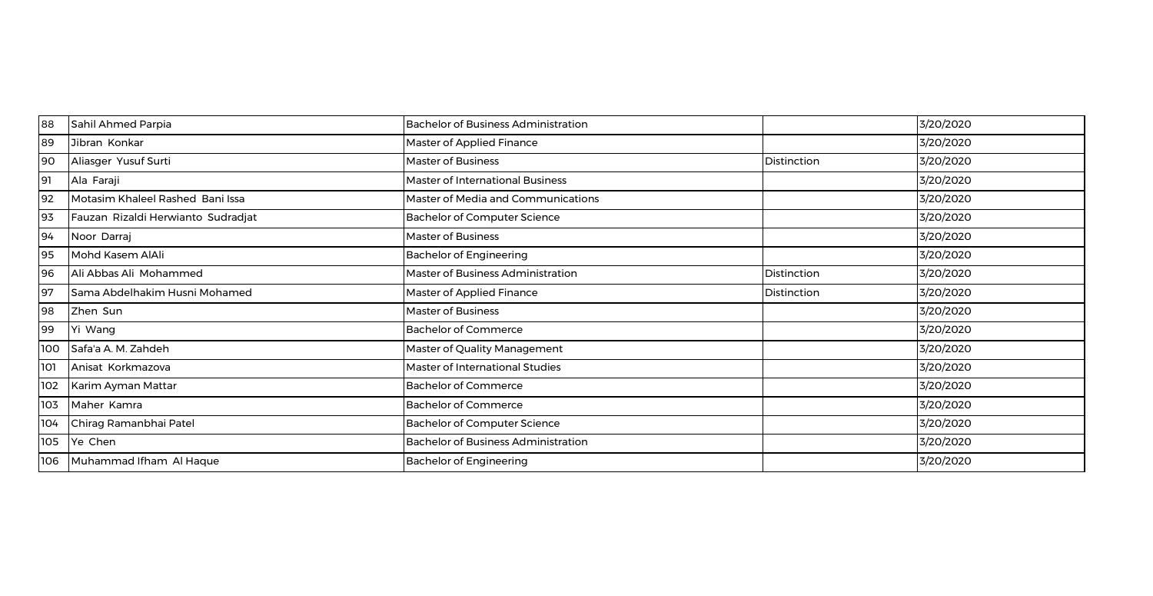| 88  | Sahil Ahmed Parpia                 | <b>Bachelor of Business Administration</b> |             | 3/20/2020 |
|-----|------------------------------------|--------------------------------------------|-------------|-----------|
| 89  | Jibran Konkar                      | Master of Applied Finance                  |             | 3/20/2020 |
| 90  | Aliasger Yusuf Surti               | <b>Master of Business</b>                  | Distinction | 3/20/2020 |
| 91  | Ala Faraji                         | <b>Master of International Business</b>    |             | 3/20/2020 |
| 92  | Motasim Khaleel Rashed Bani Issa   | Master of Media and Communications         |             | 3/20/2020 |
| 93  | Fauzan Rizaldi Herwianto Sudradjat | <b>Bachelor of Computer Science</b>        |             | 3/20/2020 |
| 94  | Noor Darraj                        | <b>Master of Business</b>                  |             | 3/20/2020 |
| 95  | Mohd Kasem AlAli                   | <b>Bachelor of Engineering</b>             |             | 3/20/2020 |
| 96  | Ali Abbas Ali Mohammed             | Master of Business Administration          | Distinction | 3/20/2020 |
| 97  | Sama Abdelhakim Husni Mohamed      | Master of Applied Finance                  | Distinction | 3/20/2020 |
| 98  | Zhen Sun                           | Master of Business                         |             | 3/20/2020 |
| 99  | Yi Wang                            | <b>Bachelor of Commerce</b>                |             | 3/20/2020 |
| 100 | Safa'a A. M. Zahdeh                | Master of Quality Management               |             | 3/20/2020 |
| 101 | Anisat Korkmazova                  | Master of International Studies            |             | 3/20/2020 |
| 102 | Karim Ayman Mattar                 | <b>Bachelor of Commerce</b>                |             | 3/20/2020 |
| 103 | Maher Kamra                        | <b>Bachelor of Commerce</b>                |             | 3/20/2020 |
| 104 | Chirag Ramanbhai Patel             | <b>Bachelor of Computer Science</b>        |             | 3/20/2020 |
| 105 | Ye Chen                            | <b>Bachelor of Business Administration</b> |             | 3/20/2020 |
| 106 | Muhammad Ifham Al Haque            | <b>Bachelor of Engineering</b>             |             | 3/20/2020 |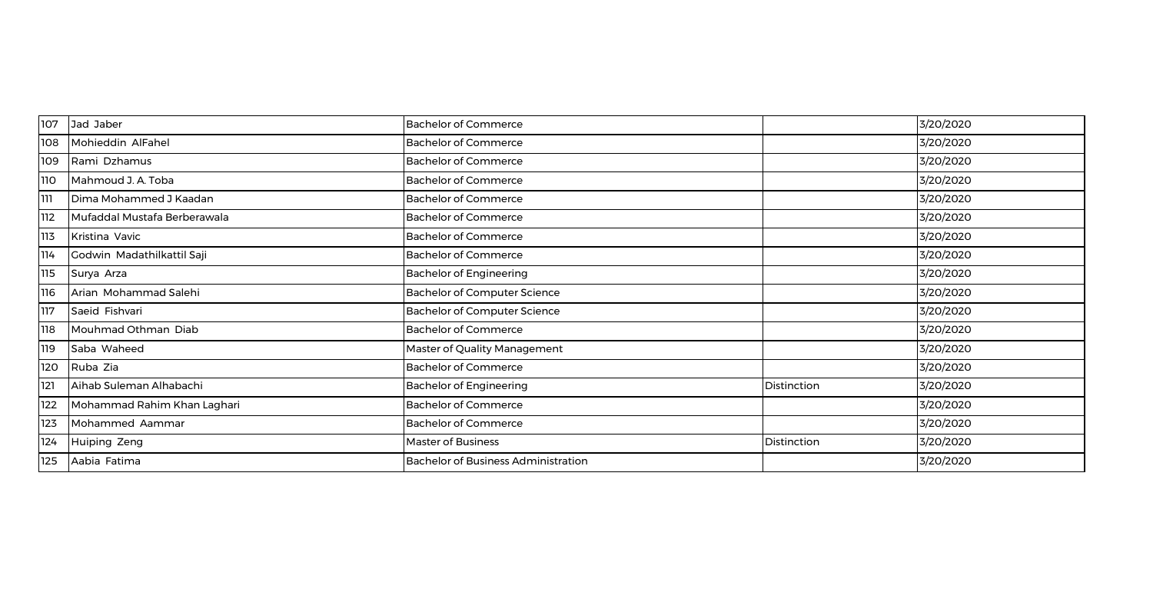| 107 | Jad Jaber                    | <b>Bachelor of Commerce</b>                |             | 3/20/2020 |
|-----|------------------------------|--------------------------------------------|-------------|-----------|
| 108 | Mohieddin AlFahel            | <b>Bachelor of Commerce</b>                |             | 3/20/2020 |
| 109 | Rami Dzhamus                 | <b>Bachelor of Commerce</b>                |             | 3/20/2020 |
| 110 | Mahmoud J. A. Toba           | <b>Bachelor of Commerce</b>                |             | 3/20/2020 |
| ווו | Dima Mohammed J Kaadan       | <b>Bachelor of Commerce</b>                |             | 3/20/2020 |
| 112 | Mufaddal Mustafa Berberawala | <b>Bachelor of Commerce</b>                |             | 3/20/2020 |
| 113 | Kristina Vavic               | <b>Bachelor of Commerce</b>                |             | 3/20/2020 |
| 114 | Godwin Madathilkattil Saji   | <b>Bachelor of Commerce</b>                |             | 3/20/2020 |
| 115 | Surya Arza                   | <b>Bachelor of Engineering</b>             |             | 3/20/2020 |
| 116 | Arian Mohammad Salehi        | <b>Bachelor of Computer Science</b>        |             | 3/20/2020 |
| 117 | Saeid Fishvari               | Bachelor of Computer Science               |             | 3/20/2020 |
| 118 | Mouhmad Othman Diab          | <b>Bachelor of Commerce</b>                |             | 3/20/2020 |
| 119 | Saba Waheed                  | Master of Quality Management               |             | 3/20/2020 |
| 120 | Ruba Zia                     | <b>Bachelor of Commerce</b>                |             | 3/20/2020 |
| 121 | Aihab Suleman Alhabachi      | <b>Bachelor of Engineering</b>             | Distinction | 3/20/2020 |
| 122 | Mohammad Rahim Khan Laghari  | <b>Bachelor of Commerce</b>                |             | 3/20/2020 |
| 123 | Mohammed Aammar              | <b>Bachelor of Commerce</b>                |             | 3/20/2020 |
| 124 | Huiping Zeng                 | <b>Master of Business</b>                  | Distinction | 3/20/2020 |
| 125 | Aabia Fatima                 | <b>Bachelor of Business Administration</b> |             | 3/20/2020 |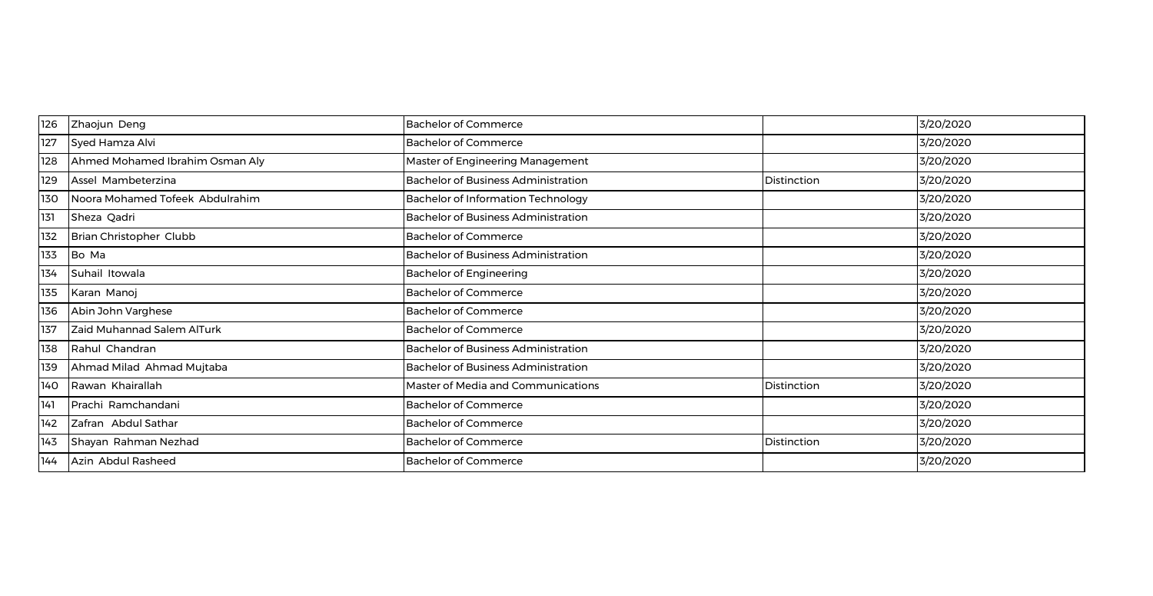| 126 | Zhaojun Deng                    | <b>Bachelor of Commerce</b>                |             | 3/20/2020 |
|-----|---------------------------------|--------------------------------------------|-------------|-----------|
| 127 | Syed Hamza Alvi                 | <b>Bachelor of Commerce</b>                |             | 3/20/2020 |
| 128 | Ahmed Mohamed Ibrahim Osman Aly | Master of Engineering Management           |             | 3/20/2020 |
| 129 | Assel Mambeterzina              | <b>Bachelor of Business Administration</b> | Distinction | 3/20/2020 |
| 130 | Noora Mohamed Tofeek Abdulrahim | <b>Bachelor of Information Technology</b>  |             | 3/20/2020 |
| 131 | Sheza Qadri                     | <b>Bachelor of Business Administration</b> |             | 3/20/2020 |
| 132 | Brian Christopher Clubb         | <b>Bachelor of Commerce</b>                |             | 3/20/2020 |
| 133 | Bo Ma                           | <b>Bachelor of Business Administration</b> |             | 3/20/2020 |
| 134 | Suhail Itowala                  | <b>Bachelor of Engineering</b>             |             | 3/20/2020 |
| 135 | Karan Manoj                     | <b>Bachelor of Commerce</b>                |             | 3/20/2020 |
| 136 | Abin John Varghese              | <b>Bachelor of Commerce</b>                |             | 3/20/2020 |
| 137 | Zaid Muhannad Salem AlTurk      | <b>Bachelor of Commerce</b>                |             | 3/20/2020 |
| 138 | Rahul Chandran                  | Bachelor of Business Administration        |             | 3/20/2020 |
| 139 | Ahmad Milad Ahmad Mujtaba       | <b>Bachelor of Business Administration</b> |             | 3/20/2020 |
| 140 | Rawan Khairallah                | Master of Media and Communications         | Distinction | 3/20/2020 |
| 141 | Prachi Ramchandani              | <b>Bachelor of Commerce</b>                |             | 3/20/2020 |
| 142 | Zafran Abdul Sathar             | <b>Bachelor of Commerce</b>                |             | 3/20/2020 |
| 143 | Shayan Rahman Nezhad            | <b>Bachelor of Commerce</b>                | Distinction | 3/20/2020 |
| 144 | Azin Abdul Rasheed              | <b>Bachelor of Commerce</b>                |             | 3/20/2020 |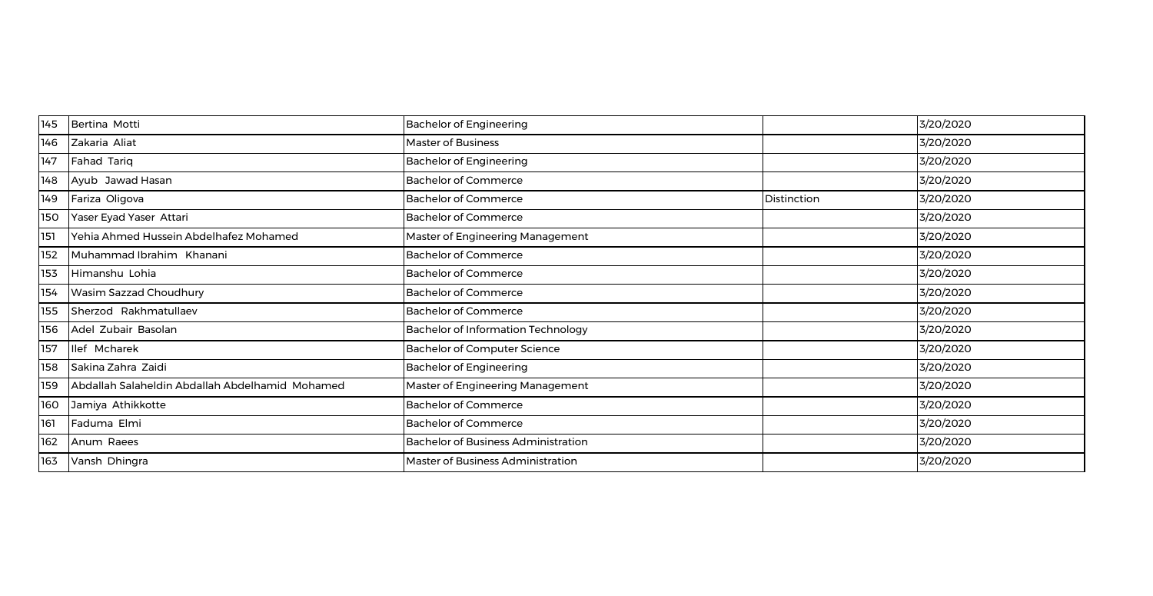| 145 | Bertina Motti                                   | <b>Bachelor of Engineering</b>             |             | 3/20/2020 |
|-----|-------------------------------------------------|--------------------------------------------|-------------|-----------|
| 146 | Zakaria Aliat                                   | <b>Master of Business</b>                  |             | 3/20/2020 |
| 147 | <b>Fahad Tariq</b>                              | <b>Bachelor of Engineering</b>             |             | 3/20/2020 |
| 148 | Ayub Jawad Hasan                                | <b>Bachelor of Commerce</b>                |             | 3/20/2020 |
| 149 | Fariza Oligova                                  | <b>Bachelor of Commerce</b>                | Distinction | 3/20/2020 |
| 150 | Yaser Eyad Yaser Attari                         | <b>Bachelor of Commerce</b>                |             | 3/20/2020 |
| 151 | Yehia Ahmed Hussein Abdelhafez Mohamed          | Master of Engineering Management           |             | 3/20/2020 |
| 152 | Muhammad Ibrahim Khanani                        | <b>Bachelor of Commerce</b>                |             | 3/20/2020 |
| 153 | Himanshu Lohia                                  | <b>Bachelor of Commerce</b>                |             | 3/20/2020 |
| 154 | Wasim Sazzad Choudhury                          | <b>Bachelor of Commerce</b>                |             | 3/20/2020 |
| 155 | Sherzod Rakhmatullaev                           | <b>Bachelor of Commerce</b>                |             | 3/20/2020 |
| 156 | Adel Zubair Basolan                             | <b>Bachelor of Information Technology</b>  |             | 3/20/2020 |
| 157 | llef Mcharek                                    | <b>Bachelor of Computer Science</b>        |             | 3/20/2020 |
| 158 | Sakina Zahra Zaidi                              | <b>Bachelor of Engineering</b>             |             | 3/20/2020 |
| 159 | Abdallah Salaheldin Abdallah Abdelhamid Mohamed | Master of Engineering Management           |             | 3/20/2020 |
| 160 | Jamiya Athikkotte                               | <b>Bachelor of Commerce</b>                |             | 3/20/2020 |
| 161 | Faduma Elmi                                     | <b>Bachelor of Commerce</b>                |             | 3/20/2020 |
| 162 | Anum Raees                                      | <b>Bachelor of Business Administration</b> |             | 3/20/2020 |
| 163 | Vansh Dhingra                                   | Master of Business Administration          |             | 3/20/2020 |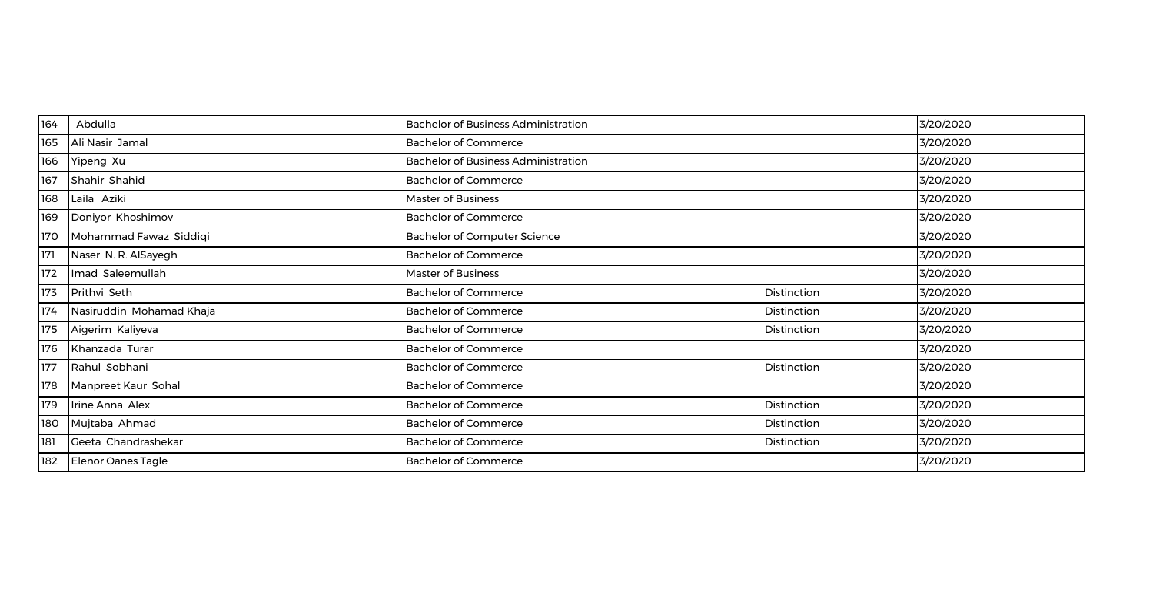| 164 | Abdulla                  | <b>Bachelor of Business Administration</b> |             | 3/20/2020 |
|-----|--------------------------|--------------------------------------------|-------------|-----------|
| 165 | Ali Nasir Jamal          | <b>Bachelor of Commerce</b>                |             | 3/20/2020 |
| 166 | Yipeng Xu                | <b>Bachelor of Business Administration</b> |             | 3/20/2020 |
| 167 | Shahir Shahid            | <b>Bachelor of Commerce</b>                |             | 3/20/2020 |
| 168 | Laila Aziki              | Master of Business                         |             | 3/20/2020 |
| 169 | Doniyor Khoshimov        | <b>Bachelor of Commerce</b>                |             | 3/20/2020 |
| 170 | Mohammad Fawaz Siddiqi   | <b>Bachelor of Computer Science</b>        |             | 3/20/2020 |
| 171 | Naser N. R. AlSayegh     | <b>Bachelor of Commerce</b>                |             | 3/20/2020 |
| 172 | Imad Saleemullah         | Master of Business                         |             | 3/20/2020 |
| 173 | Prithvi Seth             | <b>Bachelor of Commerce</b>                | Distinction | 3/20/2020 |
| 174 | Nasiruddin Mohamad Khaja | <b>Bachelor of Commerce</b>                | Distinction | 3/20/2020 |
| 175 | Aigerim Kaliyeva         | <b>Bachelor of Commerce</b>                | Distinction | 3/20/2020 |
| 176 | Khanzada Turar           | <b>Bachelor of Commerce</b>                |             | 3/20/2020 |
| 177 | Rahul Sobhani            | <b>Bachelor of Commerce</b>                | Distinction | 3/20/2020 |
| 178 | Manpreet Kaur Sohal      | <b>Bachelor of Commerce</b>                |             | 3/20/2020 |
| 179 | Irine Anna Alex          | <b>Bachelor of Commerce</b>                | Distinction | 3/20/2020 |
| 180 | Mujtaba Ahmad            | <b>Bachelor of Commerce</b>                | Distinction | 3/20/2020 |
| 181 | Geeta Chandrashekar      | <b>Bachelor of Commerce</b>                | Distinction | 3/20/2020 |
| 182 | Elenor Oanes Tagle       | <b>Bachelor of Commerce</b>                |             | 3/20/2020 |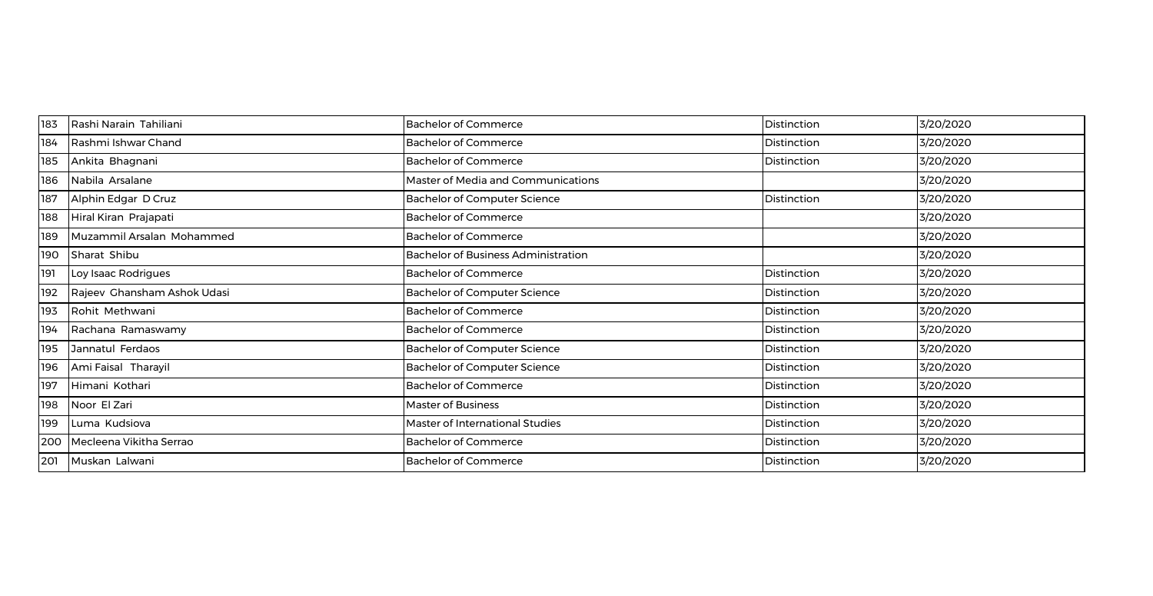| 183 | Rashi Narain Tahiliani      | <b>Bachelor of Commerce</b>                | Distinction | 3/20/2020 |
|-----|-----------------------------|--------------------------------------------|-------------|-----------|
| 184 | Rashmi Ishwar Chand         | <b>Bachelor of Commerce</b>                | Distinction | 3/20/2020 |
| 185 | Ankita Bhagnani             | <b>Bachelor of Commerce</b>                | Distinction | 3/20/2020 |
| 186 | Nabila Arsalane             | Master of Media and Communications         |             | 3/20/2020 |
| 187 | Alphin Edgar D Cruz         | Bachelor of Computer Science               | Distinction | 3/20/2020 |
| 188 | Hiral Kiran Prajapati       | <b>Bachelor of Commerce</b>                |             | 3/20/2020 |
| 189 | Muzammil Arsalan Mohammed   | <b>Bachelor of Commerce</b>                |             | 3/20/2020 |
| 190 | Sharat Shibu                | <b>Bachelor of Business Administration</b> |             | 3/20/2020 |
| 191 | Loy Isaac Rodrigues         | <b>Bachelor of Commerce</b>                | Distinction | 3/20/2020 |
| 192 | Rajeev Ghansham Ashok Udasi | <b>Bachelor of Computer Science</b>        | Distinction | 3/20/2020 |
| 193 | Rohit Methwani              | <b>Bachelor of Commerce</b>                | Distinction | 3/20/2020 |
| 194 | Rachana Ramaswamy           | <b>Bachelor of Commerce</b>                | Distinction | 3/20/2020 |
| 195 | Jannatul Ferdaos            | <b>Bachelor of Computer Science</b>        | Distinction | 3/20/2020 |
| 196 | Ami Faisal Tharayil         | Bachelor of Computer Science               | Distinction | 3/20/2020 |
| 197 | Himani Kothari              | <b>Bachelor of Commerce</b>                | Distinction | 3/20/2020 |
| 198 | Noor El Zari                | <b>Master of Business</b>                  | Distinction | 3/20/2020 |
| 199 | Luma Kudsiova               | Master of International Studies            | Distinction | 3/20/2020 |
| 200 | Mecleena Vikitha Serrao     | <b>Bachelor of Commerce</b>                | Distinction | 3/20/2020 |
| 201 | Muskan Lalwani              | <b>Bachelor of Commerce</b>                | Distinction | 3/20/2020 |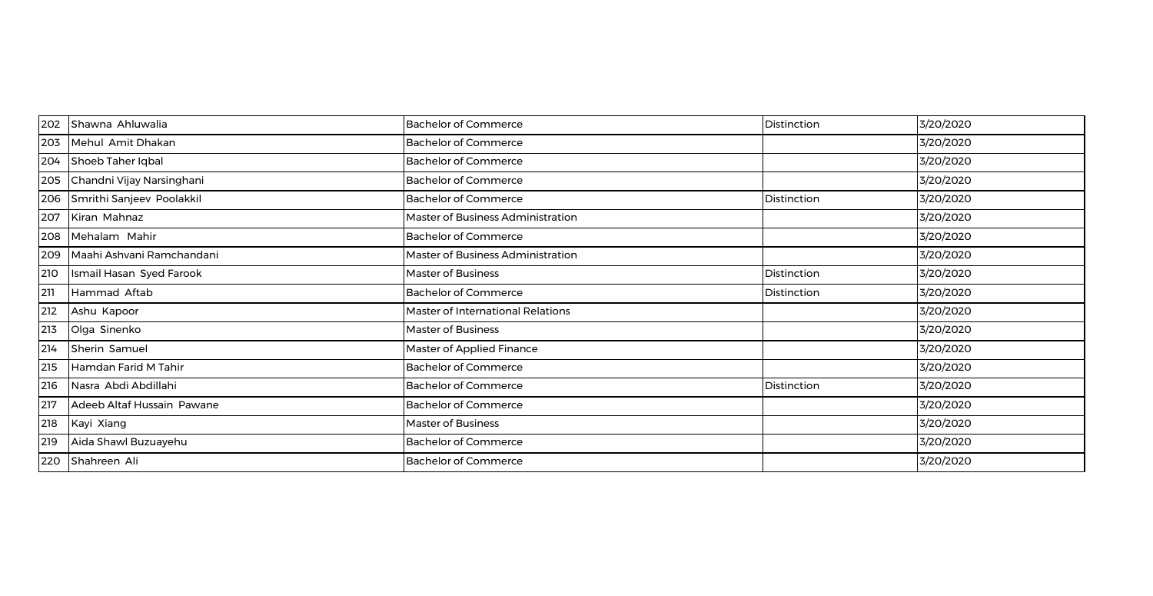| 202 | Shawna Ahluwalia           | <b>Bachelor of Commerce</b>       | Distinction | 3/20/2020 |
|-----|----------------------------|-----------------------------------|-------------|-----------|
| 203 | Mehul Amit Dhakan          | <b>Bachelor of Commerce</b>       |             | 3/20/2020 |
| 204 | Shoeb Taher Iqbal          | <b>Bachelor of Commerce</b>       |             | 3/20/2020 |
| 205 | Chandni Vijay Narsinghani  | <b>Bachelor of Commerce</b>       |             | 3/20/2020 |
| 206 | Smrithi Sanjeev Poolakkil  | <b>Bachelor of Commerce</b>       | Distinction | 3/20/2020 |
| 207 | Kiran Mahnaz               | Master of Business Administration |             | 3/20/2020 |
| 208 | Mehalam Mahir              | <b>Bachelor of Commerce</b>       |             | 3/20/2020 |
| 209 | Maahi Ashvani Ramchandani  | Master of Business Administration |             | 3/20/2020 |
| 210 | Ismail Hasan Syed Farook   | Master of Business                | Distinction | 3/20/2020 |
| 211 | Hammad Aftab               | <b>Bachelor of Commerce</b>       | Distinction | 3/20/2020 |
| 212 | Ashu Kapoor                | Master of International Relations |             | 3/20/2020 |
| 213 | Olga Sinenko               | Master of Business                |             | 3/20/2020 |
| 214 | Sherin Samuel              | Master of Applied Finance         |             | 3/20/2020 |
| 215 | Hamdan Farid M Tahir       | <b>Bachelor of Commerce</b>       |             | 3/20/2020 |
| 216 | Nasra Abdi Abdillahi       | <b>Bachelor of Commerce</b>       | Distinction | 3/20/2020 |
| 217 | Adeeb Altaf Hussain Pawane | <b>Bachelor of Commerce</b>       |             | 3/20/2020 |
| 218 | Kayi Xiang                 | <b>Master of Business</b>         |             | 3/20/2020 |
| 219 | Aida Shawl Buzuayehu       | <b>Bachelor of Commerce</b>       |             | 3/20/2020 |
| 220 | Shahreen Ali               | <b>Bachelor of Commerce</b>       |             | 3/20/2020 |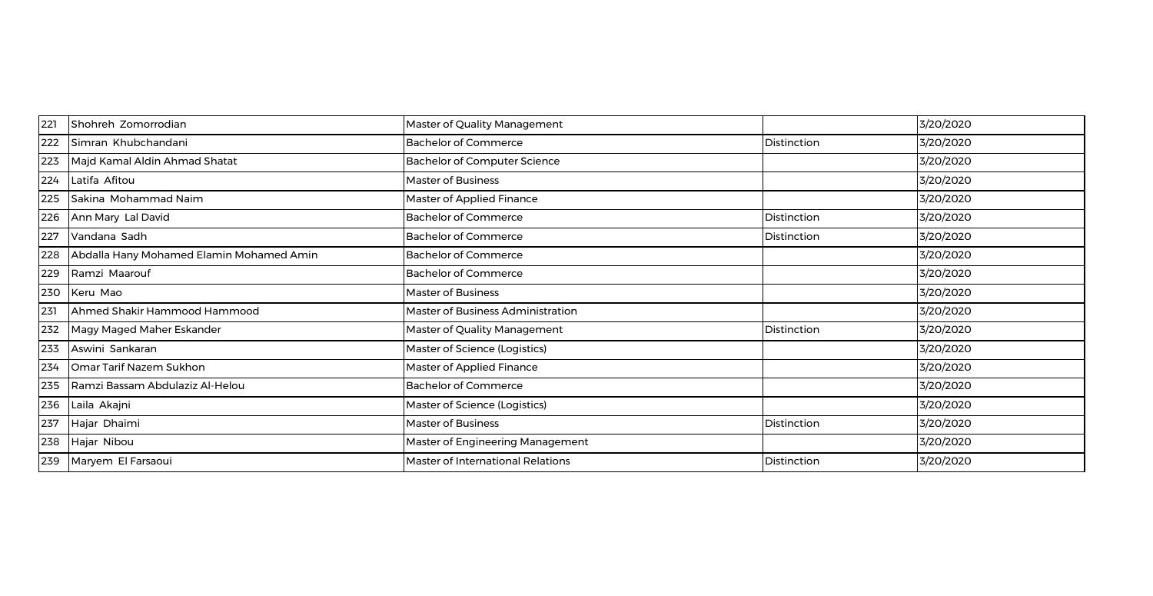| 221 | Shohreh Zomorrodian                      | Master of Quality Management        |             | 3/20/2020 |
|-----|------------------------------------------|-------------------------------------|-------------|-----------|
| 222 | Simran Khubchandani                      | <b>Bachelor of Commerce</b>         | Distinction | 3/20/2020 |
| 223 | Majd Kamal Aldin Ahmad Shatat            | <b>Bachelor of Computer Science</b> |             | 3/20/2020 |
| 224 | Latifa Afitou                            | <b>Master of Business</b>           |             | 3/20/2020 |
| 225 | Sakina Mohammad Naim                     | Master of Applied Finance           |             | 3/20/2020 |
| 226 | Ann Mary Lal David                       | <b>Bachelor of Commerce</b>         | Distinction | 3/20/2020 |
| 227 | Vandana Sadh                             | <b>Bachelor of Commerce</b>         | Distinction | 3/20/2020 |
| 228 | Abdalla Hany Mohamed Elamin Mohamed Amin | <b>Bachelor of Commerce</b>         |             | 3/20/2020 |
| 229 | Ramzi Maarouf                            | <b>Bachelor of Commerce</b>         |             | 3/20/2020 |
| 230 | Keru Mao                                 | Master of Business                  |             | 3/20/2020 |
| 231 | Ahmed Shakir Hammood Hammood             | Master of Business Administration   |             | 3/20/2020 |
| 232 | Magy Maged Maher Eskander                | Master of Quality Management        | Distinction | 3/20/2020 |
| 233 | Aswini Sankaran                          | Master of Science (Logistics)       |             | 3/20/2020 |
| 234 | Omar Tarif Nazem Sukhon                  | Master of Applied Finance           |             | 3/20/2020 |
| 235 | Ramzi Bassam Abdulaziz Al-Helou          | <b>Bachelor of Commerce</b>         |             | 3/20/2020 |
| 236 | Laila Akajni                             | Master of Science (Logistics)       |             | 3/20/2020 |
| 237 | Hajar Dhaimi                             | Master of Business                  | Distinction | 3/20/2020 |
| 238 | Hajar Nibou                              | Master of Engineering Management    |             | 3/20/2020 |
| 239 | Maryem El Farsaoui                       | Master of International Relations   | Distinction | 3/20/2020 |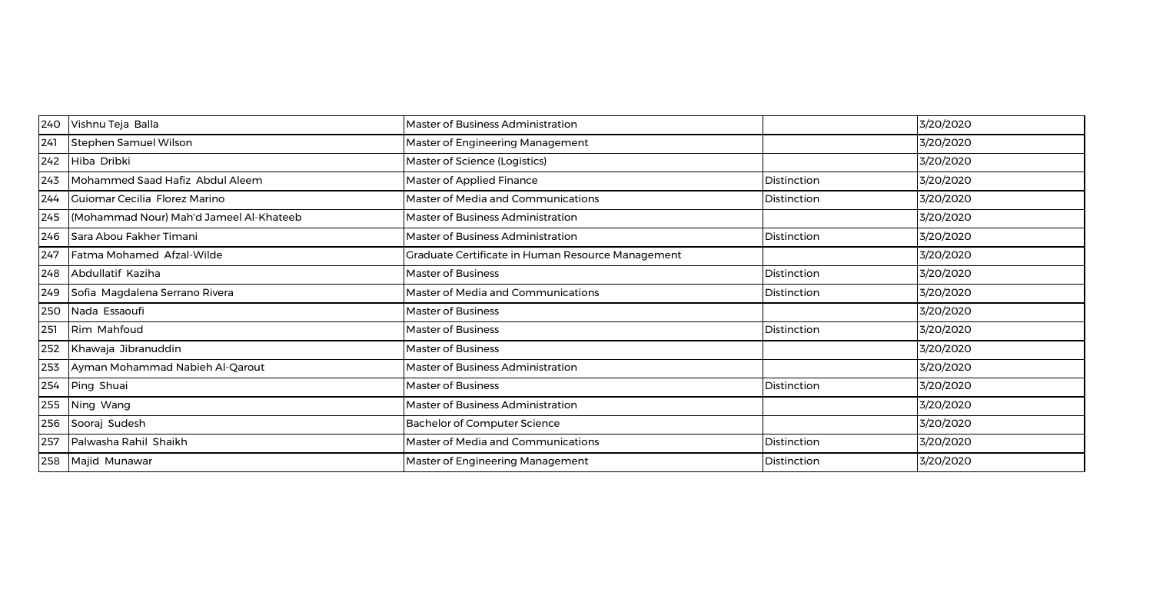| 240 | Vishnu Teja Balla                       | <b>Master of Business Administration</b>          |             | 3/20/2020 |
|-----|-----------------------------------------|---------------------------------------------------|-------------|-----------|
| 241 | Stephen Samuel Wilson                   | Master of Engineering Management                  |             | 3/20/2020 |
| 242 | Hiba Dribki                             | Master of Science (Logistics)                     |             | 3/20/2020 |
| 243 | Mohammed Saad Hafiz Abdul Aleem         | Master of Applied Finance                         | Distinction | 3/20/2020 |
| 244 | Guiomar Cecilia Florez Marino           | Master of Media and Communications                | Distinction | 3/20/2020 |
| 245 | (Mohammad Nour) Mah'd Jameel Al-Khateeb | Master of Business Administration                 |             | 3/20/2020 |
| 246 | Sara Abou Fakher Timani                 | Master of Business Administration                 | Distinction | 3/20/2020 |
| 247 | Fatma Mohamed Afzal-Wilde               | Graduate Certificate in Human Resource Management |             | 3/20/2020 |
| 248 | Abdullatif Kaziha                       | <b>Master of Business</b>                         | Distinction | 3/20/2020 |
| 249 | Sofia Magdalena Serrano Rivera          | Master of Media and Communications                | Distinction | 3/20/2020 |
| 250 | Nada Essaoufi                           | Master of Business                                |             | 3/20/2020 |
| 251 | Rim Mahfoud                             | <b>Master of Business</b>                         | Distinction | 3/20/2020 |
| 252 | Khawaja Jibranuddin                     | Master of Business                                |             | 3/20/2020 |
| 253 | Ayman Mohammad Nabieh Al-Qarout         | Master of Business Administration                 |             | 3/20/2020 |
| 254 | Ping Shuai                              | Master of Business                                | Distinction | 3/20/2020 |
| 255 | Ning Wang                               | Master of Business Administration                 |             | 3/20/2020 |
| 256 | Sooraj Sudesh                           | <b>Bachelor of Computer Science</b>               |             | 3/20/2020 |
| 257 | Palwasha Rahil Shaikh                   | Master of Media and Communications                | Distinction | 3/20/2020 |
| 258 | Majid Munawar                           | Master of Engineering Management                  | Distinction | 3/20/2020 |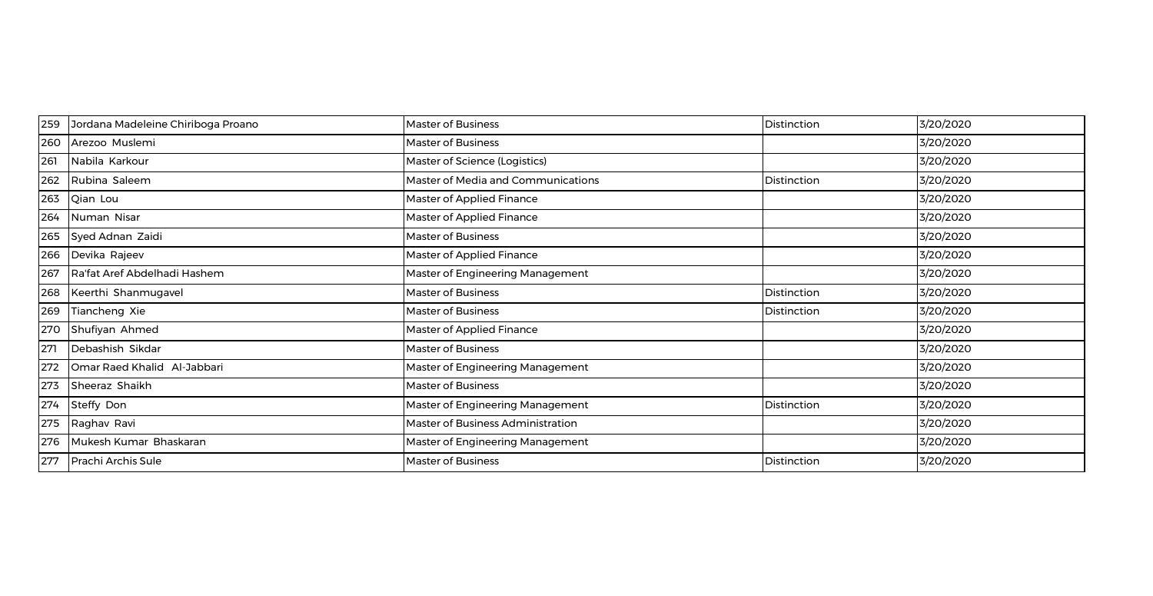| 259 | Jordana Madeleine Chiriboga Proano | <b>Master of Business</b>          | Distinction | 3/20/2020 |
|-----|------------------------------------|------------------------------------|-------------|-----------|
| 260 | Arezoo Muslemi                     | <b>Master of Business</b>          |             | 3/20/2020 |
| 261 | Nabila Karkour                     | Master of Science (Logistics)      |             | 3/20/2020 |
| 262 | Rubina Saleem                      | Master of Media and Communications | Distinction | 3/20/2020 |
| 263 | Qian Lou                           | Master of Applied Finance          |             | 3/20/2020 |
| 264 | Numan Nisar                        | Master of Applied Finance          |             | 3/20/2020 |
| 265 | Syed Adnan Zaidi                   | <b>Master of Business</b>          |             | 3/20/2020 |
| 266 | Devika Rajeev                      | Master of Applied Finance          |             | 3/20/2020 |
| 267 | Ra'fat Aref Abdelhadi Hashem       | Master of Engineering Management   |             | 3/20/2020 |
| 268 | Keerthi Shanmugavel                | <b>Master of Business</b>          | Distinction | 3/20/2020 |
| 269 | Tiancheng Xie                      | <b>Master of Business</b>          | Distinction | 3/20/2020 |
| 270 | Shufiyan Ahmed                     | Master of Applied Finance          |             | 3/20/2020 |
| 271 | Debashish Sikdar                   | <b>Master of Business</b>          |             | 3/20/2020 |
| 272 | Omar Raed Khalid Al-Jabbari        | Master of Engineering Management   |             | 3/20/2020 |
| 273 | Sheeraz Shaikh                     | <b>Master of Business</b>          |             | 3/20/2020 |
| 274 | Steffy Don                         | Master of Engineering Management   | Distinction | 3/20/2020 |
| 275 | Raghav Ravi                        | Master of Business Administration  |             | 3/20/2020 |
| 276 | Mukesh Kumar Bhaskaran             | Master of Engineering Management   |             | 3/20/2020 |
| 277 | Prachi Archis Sule                 | <b>Master of Business</b>          | Distinction | 3/20/2020 |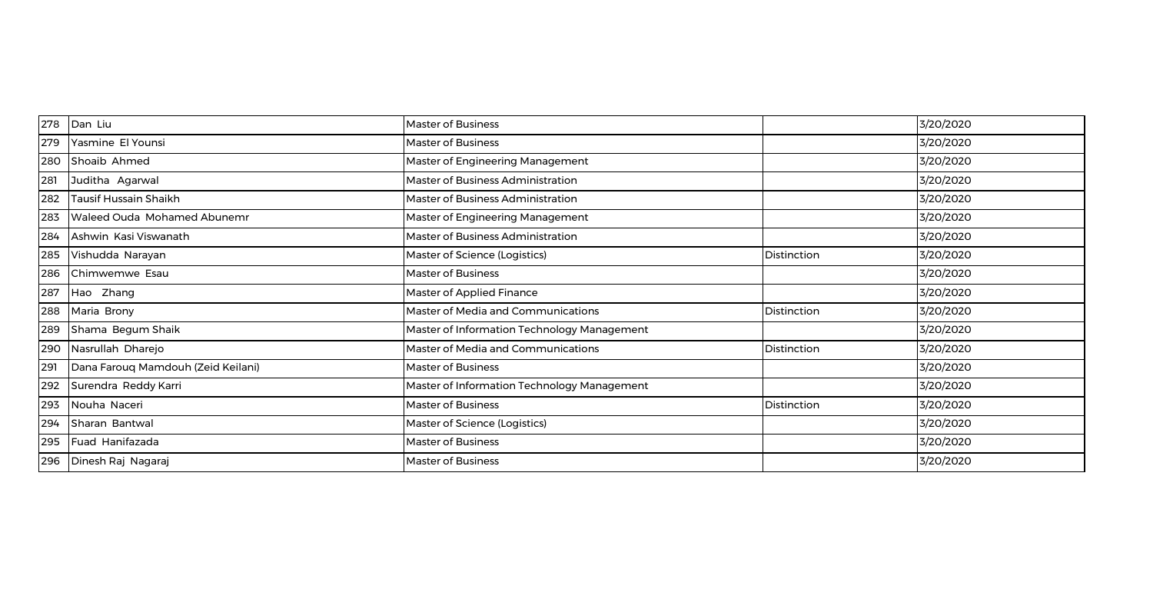| 278 | Dan Liu                            | <b>Master of Business</b>                   |             | 3/20/2020 |
|-----|------------------------------------|---------------------------------------------|-------------|-----------|
| 279 | Yasmine El Younsi                  | <b>Master of Business</b>                   |             | 3/20/2020 |
| 280 | Shoaib Ahmed                       | Master of Engineering Management            |             | 3/20/2020 |
| 281 | Juditha Agarwal                    | Master of Business Administration           |             | 3/20/2020 |
| 282 | Tausif Hussain Shaikh              | Master of Business Administration           |             | 3/20/2020 |
| 283 | Waleed Ouda Mohamed Abunemr        | Master of Engineering Management            |             | 3/20/2020 |
| 284 | Ashwin Kasi Viswanath              | Master of Business Administration           |             | 3/20/2020 |
| 285 | Vishudda Narayan                   | Master of Science (Logistics)               | Distinction | 3/20/2020 |
| 286 | Chimwemwe Esau                     | <b>Master of Business</b>                   |             | 3/20/2020 |
| 287 | Hao Zhang                          | <b>Master of Applied Finance</b>            |             | 3/20/2020 |
| 288 | Maria Brony                        | Master of Media and Communications          | Distinction | 3/20/2020 |
| 289 | Shama Begum Shaik                  | Master of Information Technology Management |             | 3/20/2020 |
| 290 | Nasrullah Dharejo                  | Master of Media and Communications          | Distinction | 3/20/2020 |
| 291 | Dana Farouq Mamdouh (Zeid Keilani) | <b>Master of Business</b>                   |             | 3/20/2020 |
| 292 | Surendra Reddy Karri               | Master of Information Technology Management |             | 3/20/2020 |
| 293 | Nouha Naceri                       | <b>Master of Business</b>                   | Distinction | 3/20/2020 |
| 294 | Sharan Bantwal                     | Master of Science (Logistics)               |             | 3/20/2020 |
| 295 | Fuad Hanifazada                    | <b>Master of Business</b>                   |             | 3/20/2020 |
| 296 | Dinesh Raj Nagaraj                 | <b>Master of Business</b>                   |             | 3/20/2020 |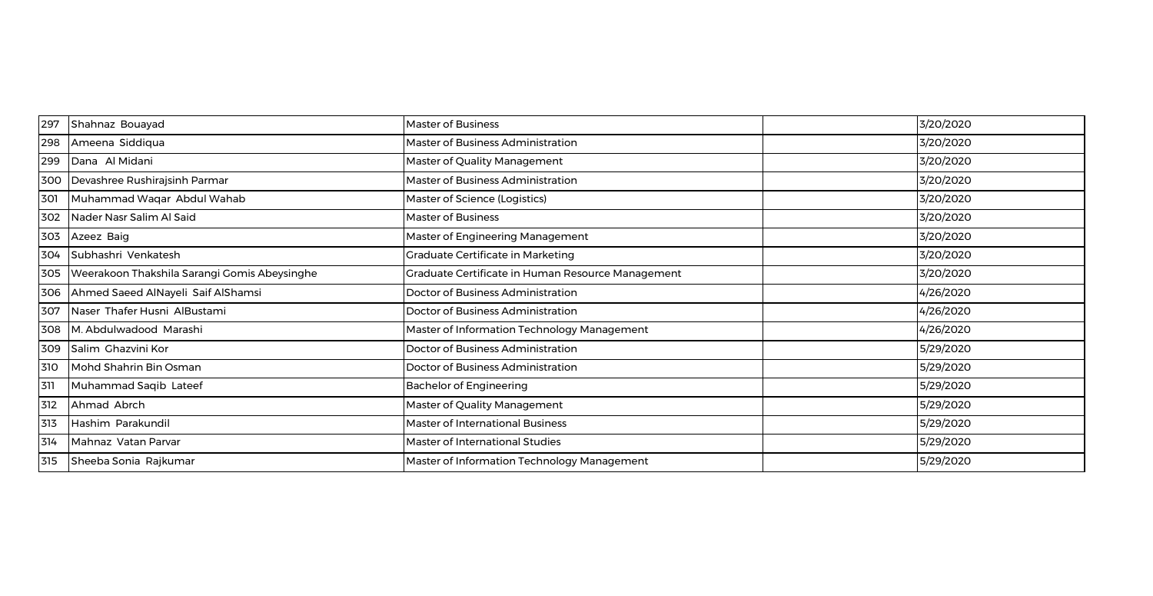| 297 | Shahnaz Bouayad                              | <b>Master of Business</b>                         | 3/20/2020 |
|-----|----------------------------------------------|---------------------------------------------------|-----------|
| 298 | Ameena Siddiqua                              | Master of Business Administration                 | 3/20/2020 |
| 299 | Dana Al Midani                               | Master of Quality Management                      | 3/20/2020 |
| 300 | Devashree Rushirajsinh Parmar                | Master of Business Administration                 | 3/20/2020 |
| 301 | Muhammad Waqar Abdul Wahab                   | Master of Science (Logistics)                     | 3/20/2020 |
| 302 | Nader Nasr Salim Al Said                     | <b>Master of Business</b>                         | 3/20/2020 |
| 303 | Azeez Baig                                   | Master of Engineering Management                  | 3/20/2020 |
| 304 | Subhashri Venkatesh                          | Graduate Certificate in Marketing                 | 3/20/2020 |
| 305 | Weerakoon Thakshila Sarangi Gomis Abeysinghe | Graduate Certificate in Human Resource Management | 3/20/2020 |
| 306 | Ahmed Saeed AlNayeli Saif AlShamsi           | Doctor of Business Administration                 | 4/26/2020 |
| 307 | Naser Thafer Husni AlBustami                 | Doctor of Business Administration                 | 4/26/2020 |
| 308 | M. Abdulwadood Marashi                       | Master of Information Technology Management       | 4/26/2020 |
| 309 | Salim Chazvini Kor                           | Doctor of Business Administration                 | 5/29/2020 |
| 310 | Mohd Shahrin Bin Osman                       | Doctor of Business Administration                 | 5/29/2020 |
| 311 | Muhammad Saqib Lateef                        | <b>Bachelor of Engineering</b>                    | 5/29/2020 |
| 312 | Ahmad Abrch                                  | Master of Quality Management                      | 5/29/2020 |
| 313 | Hashim Parakundil                            | <b>Master of International Business</b>           | 5/29/2020 |
| 314 | Mahnaz Vatan Parvar                          | Master of International Studies                   | 5/29/2020 |
| 315 | Sheeba Sonia Rajkumar                        | Master of Information Technology Management       | 5/29/2020 |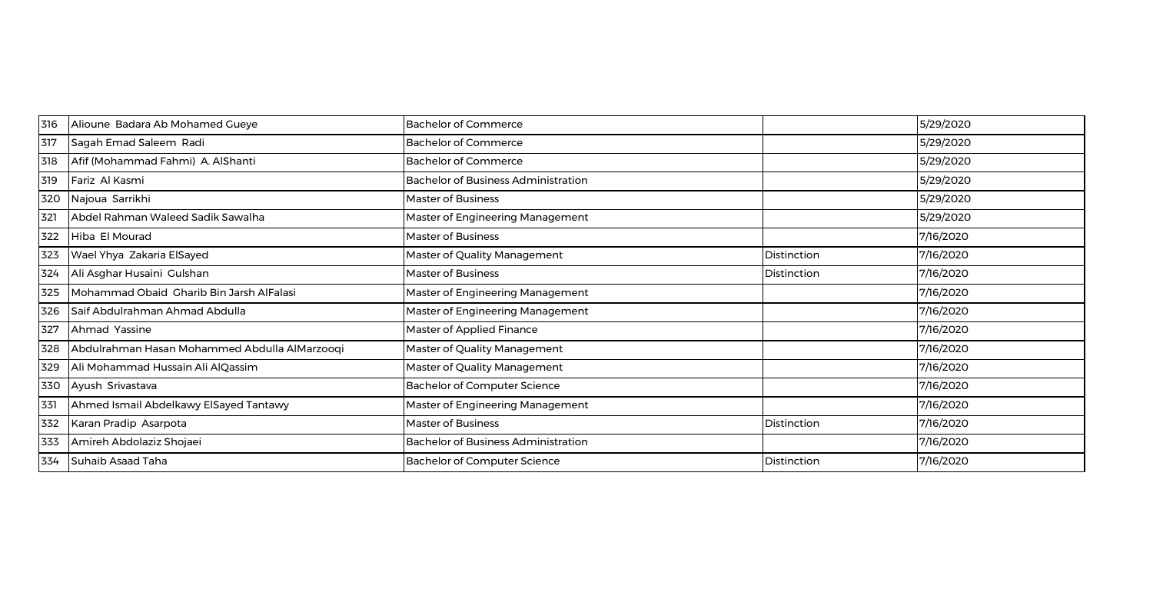| 316 | Alioune Badara Ab Mohamed Gueye               | <b>Bachelor of Commerce</b>                |             | 5/29/2020 |
|-----|-----------------------------------------------|--------------------------------------------|-------------|-----------|
| 317 | Sagah Emad Saleem Radi                        | <b>Bachelor of Commerce</b>                |             | 5/29/2020 |
| 318 | Afif (Mohammad Fahmi) A. AlShanti             | <b>Bachelor of Commerce</b>                |             | 5/29/2020 |
| 319 | Fariz Al Kasmi                                | <b>Bachelor of Business Administration</b> |             | 5/29/2020 |
| 320 | Najoua Sarrikhi                               | <b>Master of Business</b>                  |             | 5/29/2020 |
| 321 | Abdel Rahman Waleed Sadik Sawalha             | Master of Engineering Management           |             | 5/29/2020 |
| 322 | Hiba El Mourad                                | <b>Master of Business</b>                  |             | 7/16/2020 |
| 323 | Wael Yhya Zakaria ElSayed                     | Master of Quality Management               | Distinction | 7/16/2020 |
| 324 | Ali Asghar Husaini Gulshan                    | Master of Business                         | Distinction | 7/16/2020 |
| 325 | Mohammad Obaid Charib Bin Jarsh AlFalasi      | Master of Engineering Management           |             | 7/16/2020 |
| 326 | Saif Abdulrahman Ahmad Abdulla                | Master of Engineering Management           |             | 7/16/2020 |
| 327 | Ahmad Yassine                                 | Master of Applied Finance                  |             | 7/16/2020 |
| 328 | Abdulrahman Hasan Mohammed Abdulla AlMarzooqi | Master of Quality Management               |             | 7/16/2020 |
| 329 | Ali Mohammad Hussain Ali AlQassim             | Master of Quality Management               |             | 7/16/2020 |
| 330 | Ayush Srivastava                              | <b>Bachelor of Computer Science</b>        |             | 7/16/2020 |
| 331 | Ahmed Ismail Abdelkawy ElSayed Tantawy        | Master of Engineering Management           |             | 7/16/2020 |
| 332 | Karan Pradip Asarpota                         | <b>Master of Business</b>                  | Distinction | 7/16/2020 |
| 333 | Amireh Abdolaziz Shojaei                      | <b>Bachelor of Business Administration</b> |             | 7/16/2020 |
| 334 | Suhaib Asaad Taha                             | <b>Bachelor of Computer Science</b>        | Distinction | 7/16/2020 |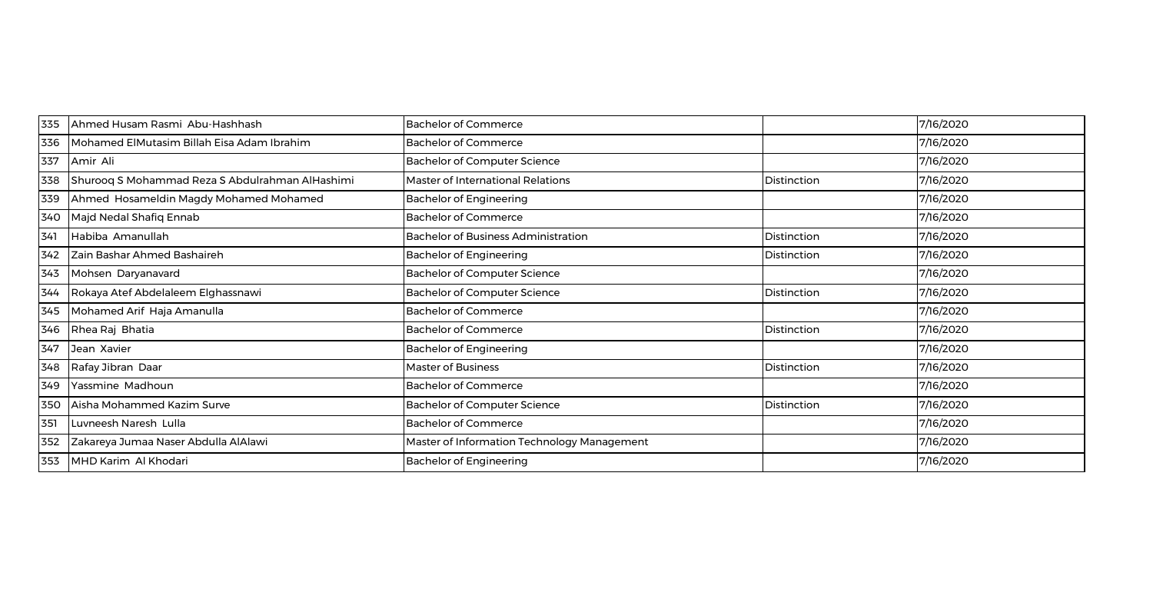| 335 | Ahmed Husam Rasmi Abu-Hashhash                  | <b>Bachelor of Commerce</b>                 |             | 7/16/2020 |
|-----|-------------------------------------------------|---------------------------------------------|-------------|-----------|
| 336 | Mohamed ElMutasim Billah Eisa Adam Ibrahim      | <b>Bachelor of Commerce</b>                 |             | 7/16/2020 |
| 337 | Amir Ali                                        | <b>Bachelor of Computer Science</b>         |             | 7/16/2020 |
| 338 | Shurooq S Mohammad Reza S Abdulrahman AlHashimi | Master of International Relations           | Distinction | 7/16/2020 |
| 339 | Ahmed Hosameldin Magdy Mohamed Mohamed          | <b>Bachelor of Engineering</b>              |             | 7/16/2020 |
| 340 | Majd Nedal Shafiq Ennab                         | <b>Bachelor of Commerce</b>                 |             | 7/16/2020 |
| 341 | Habiba Amanullah                                | <b>Bachelor of Business Administration</b>  | Distinction | 7/16/2020 |
| 342 | Zain Bashar Ahmed Bashaireh                     | <b>Bachelor of Engineering</b>              | Distinction | 7/16/2020 |
| 343 | Mohsen Daryanavard                              | <b>Bachelor of Computer Science</b>         |             | 7/16/2020 |
| 344 | Rokaya Atef Abdelaleem Elghassnawi              | <b>Bachelor of Computer Science</b>         | Distinction | 7/16/2020 |
| 345 | Mohamed Arif Haja Amanulla                      | <b>Bachelor of Commerce</b>                 |             | 7/16/2020 |
| 346 | Rhea Raj Bhatia                                 | <b>Bachelor of Commerce</b>                 | Distinction | 7/16/2020 |
| 347 | Jean Xavier                                     | <b>Bachelor of Engineering</b>              |             | 7/16/2020 |
| 348 | Rafay Jibran Daar                               | <b>Master of Business</b>                   | Distinction | 7/16/2020 |
| 349 | Yassmine Madhoun                                | <b>Bachelor of Commerce</b>                 |             | 7/16/2020 |
| 350 | Aisha Mohammed Kazim Surve                      | <b>Bachelor of Computer Science</b>         | Distinction | 7/16/2020 |
| 351 | Luvneesh Naresh Lulla                           | <b>Bachelor of Commerce</b>                 |             | 7/16/2020 |
| 352 | Zakareya Jumaa Naser Abdulla AlAlawi            | Master of Information Technology Management |             | 7/16/2020 |
| 353 | MHD Karim Al Khodari                            | <b>Bachelor of Engineering</b>              |             | 7/16/2020 |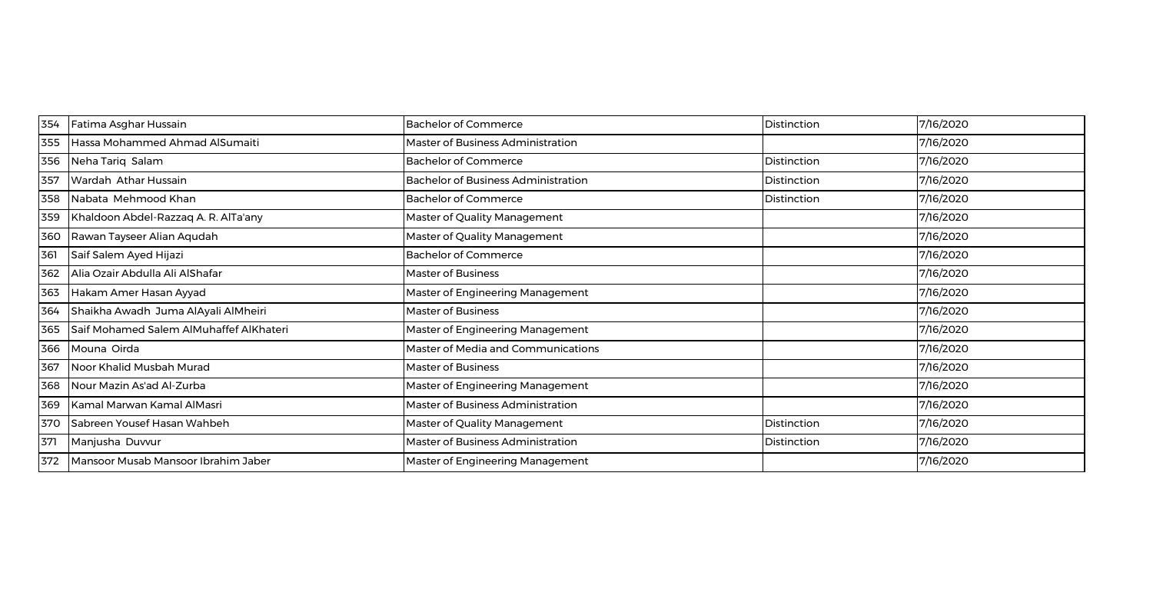| 354 | Fatima Asghar Hussain                   | <b>Bachelor of Commerce</b>                | Distinction | 7/16/2020 |
|-----|-----------------------------------------|--------------------------------------------|-------------|-----------|
| 355 | Hassa Mohammed Ahmad AlSumaiti          | Master of Business Administration          |             | 7/16/2020 |
| 356 | Neha Tariq Salam                        | <b>Bachelor of Commerce</b>                | Distinction | 7/16/2020 |
| 357 | Wardah Athar Hussain                    | <b>Bachelor of Business Administration</b> | Distinction | 7/16/2020 |
| 358 | Nabata Mehmood Khan                     | <b>Bachelor of Commerce</b>                | Distinction | 7/16/2020 |
| 359 | Khaldoon Abdel-Razzaq A. R. AlTa'any    | Master of Quality Management               |             | 7/16/2020 |
| 360 | Rawan Tayseer Alian Aqudah              | Master of Quality Management               |             | 7/16/2020 |
| 361 | Saif Salem Ayed Hijazi                  | <b>Bachelor of Commerce</b>                |             | 7/16/2020 |
| 362 | Alia Ozair Abdulla Ali AlShafar         | <b>Master of Business</b>                  |             | 7/16/2020 |
| 363 | Hakam Amer Hasan Ayyad                  | Master of Engineering Management           |             | 7/16/2020 |
| 364 | Shaikha Awadh Juma AlAyali AlMheiri     | Master of Business                         |             | 7/16/2020 |
| 365 | Saif Mohamed Salem AlMuhaffef AlKhateri | Master of Engineering Management           |             | 7/16/2020 |
| 366 | Mouna Oirda                             | Master of Media and Communications         |             | 7/16/2020 |
| 367 | Noor Khalid Musbah Murad                | Master of Business                         |             | 7/16/2020 |
| 368 | Nour Mazin As'ad Al-Zurba               | Master of Engineering Management           |             | 7/16/2020 |
| 369 | Kamal Marwan Kamal AlMasri              | Master of Business Administration          |             | 7/16/2020 |
| 370 | Sabreen Yousef Hasan Wahbeh             | Master of Quality Management               | Distinction | 7/16/2020 |
| 371 | Manjusha Duvvur                         | Master of Business Administration          | Distinction | 7/16/2020 |
| 372 | Mansoor Musab Mansoor Ibrahim Jaber     | Master of Engineering Management           |             | 7/16/2020 |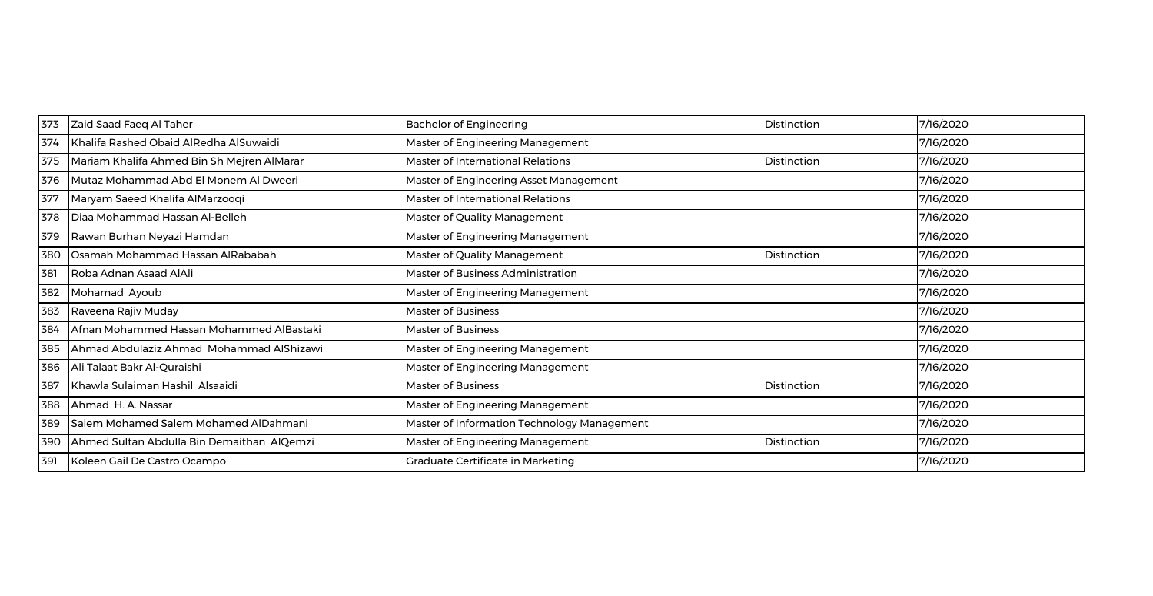| 373 | Zaid Saad Faeq Al Taher                    | <b>Bachelor of Engineering</b>              | Distinction | 7/16/2020 |
|-----|--------------------------------------------|---------------------------------------------|-------------|-----------|
| 374 | Khalifa Rashed Obaid AlRedha AlSuwaidi     | Master of Engineering Management            |             | 7/16/2020 |
| 375 | Mariam Khalifa Ahmed Bin Sh Mejren AlMarar | Master of International Relations           | Distinction | 7/16/2020 |
| 376 | Mutaz Mohammad Abd El Monem Al Dweeri      | Master of Engineering Asset Management      |             | 7/16/2020 |
| 377 | Maryam Saeed Khalifa AlMarzooqi            | <b>Master of International Relations</b>    |             | 7/16/2020 |
| 378 | Diaa Mohammad Hassan Al-Belleh             | Master of Quality Management                |             | 7/16/2020 |
| 379 | Rawan Burhan Neyazi Hamdan                 | Master of Engineering Management            |             | 7/16/2020 |
| 380 | Osamah Mohammad Hassan AlRababah           | Master of Quality Management                | Distinction | 7/16/2020 |
| 381 | Roba Adnan Asaad AlAli                     | Master of Business Administration           |             | 7/16/2020 |
| 382 | Mohamad Ayoub                              | Master of Engineering Management            |             | 7/16/2020 |
| 383 | Raveena Rajiv Muday                        | <b>Master of Business</b>                   |             | 7/16/2020 |
| 384 | Afnan Mohammed Hassan Mohammed AlBastaki   | Master of Business                          |             | 7/16/2020 |
| 385 | Ahmad Abdulaziz Ahmad Mohammad AlShizawi   | Master of Engineering Management            |             | 7/16/2020 |
| 386 | Ali Talaat Bakr Al-Quraishi                | Master of Engineering Management            |             | 7/16/2020 |
| 387 | Khawla Sulaiman Hashil Alsaaidi            | <b>Master of Business</b>                   | Distinction | 7/16/2020 |
| 388 | Ahmad H. A. Nassar                         | Master of Engineering Management            |             | 7/16/2020 |
| 389 | Salem Mohamed Salem Mohamed AlDahmani      | Master of Information Technology Management |             | 7/16/2020 |
| 390 | Ahmed Sultan Abdulla Bin Demaithan AlQemzi | Master of Engineering Management            | Distinction | 7/16/2020 |
| 391 | Koleen Gail De Castro Ocampo               | Graduate Certificate in Marketing           |             | 7/16/2020 |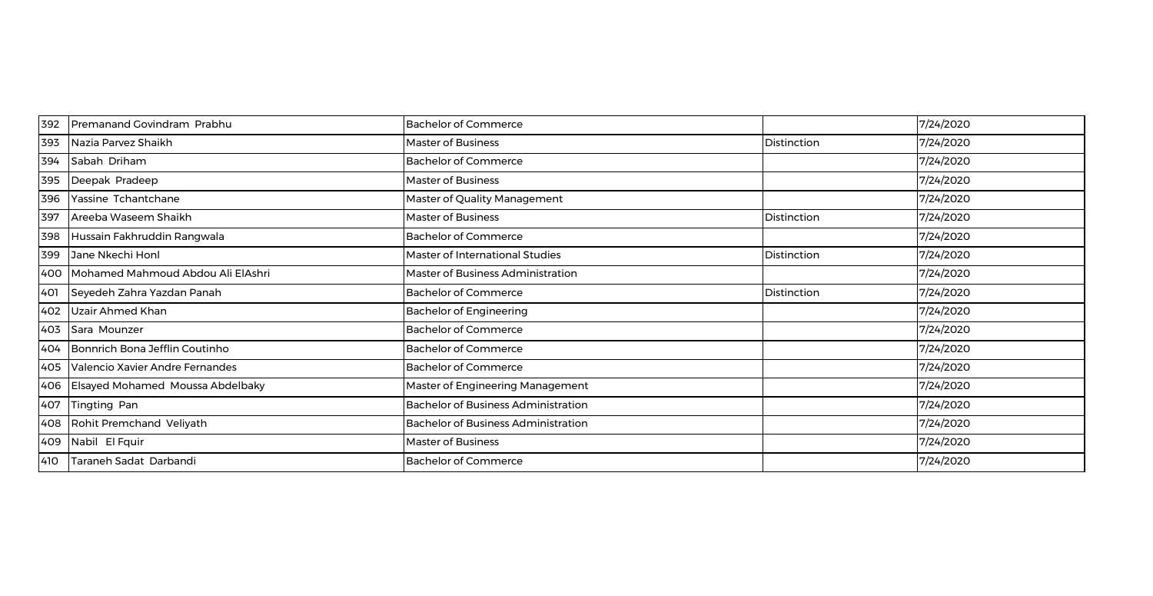| 392 | Premanand Govindram Prabhu           | <b>Bachelor of Commerce</b>                |             | 7/24/2020 |
|-----|--------------------------------------|--------------------------------------------|-------------|-----------|
| 393 | Nazia Parvez Shaikh                  | Master of Business                         | Distinction | 7/24/2020 |
| 394 | Sabah Driham                         | <b>Bachelor of Commerce</b>                |             | 7/24/2020 |
| 395 | Deepak Pradeep                       | <b>Master of Business</b>                  |             | 7/24/2020 |
| 396 | Yassine Tchantchane                  | Master of Quality Management               |             | 7/24/2020 |
| 397 | Areeba Waseem Shaikh                 | <b>Master of Business</b>                  | Distinction | 7/24/2020 |
| 398 | Hussain Fakhruddin Rangwala          | <b>Bachelor of Commerce</b>                |             | 7/24/2020 |
| 399 | Jane Nkechi Honl                     | Master of International Studies            | Distinction | 7/24/2020 |
| 400 | Mohamed Mahmoud Abdou Ali ElAshri    | Master of Business Administration          |             | 7/24/2020 |
| 401 | Seyedeh Zahra Yazdan Panah           | <b>Bachelor of Commerce</b>                | Distinction | 7/24/2020 |
| 402 | Uzair Ahmed Khan                     | <b>Bachelor of Engineering</b>             |             | 7/24/2020 |
| 403 | Sara Mounzer                         | <b>Bachelor of Commerce</b>                |             | 7/24/2020 |
| 404 | Bonnrich Bona Jefflin Coutinho       | <b>Bachelor of Commerce</b>                |             | 7/24/2020 |
| 405 | Valencio Xavier Andre Fernandes      | <b>Bachelor of Commerce</b>                |             | 7/24/2020 |
|     | 406 Elsayed Mohamed Moussa Abdelbaky | Master of Engineering Management           |             | 7/24/2020 |
| 407 | Tingting Pan                         | <b>Bachelor of Business Administration</b> |             | 7/24/2020 |
| 408 | Rohit Premchand Veliyath             | <b>Bachelor of Business Administration</b> |             | 7/24/2020 |
| 409 | Nabil El Fquir                       | <b>Master of Business</b>                  |             | 7/24/2020 |
| 410 | Taraneh Sadat Darbandi               | <b>Bachelor of Commerce</b>                |             | 7/24/2020 |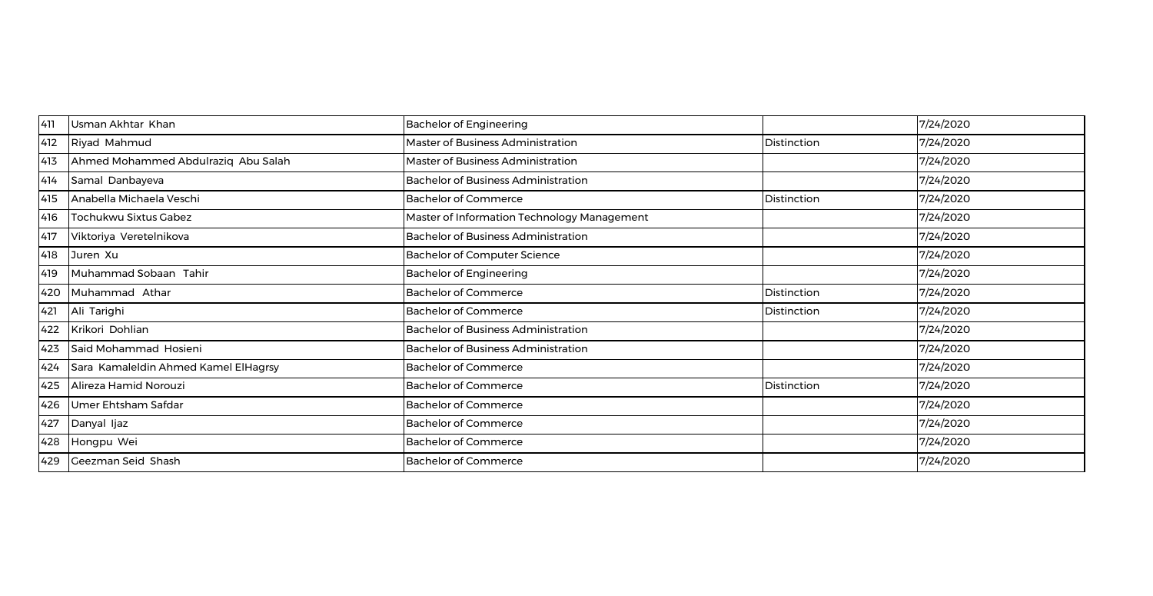| 411 | Usman Akhtar Khan                    | <b>Bachelor of Engineering</b>              |             | 7/24/2020 |
|-----|--------------------------------------|---------------------------------------------|-------------|-----------|
| 412 | Riyad Mahmud                         | Master of Business Administration           | Distinction | 7/24/2020 |
| 413 | Ahmed Mohammed Abdulraziq Abu Salah  | <b>Master of Business Administration</b>    |             | 7/24/2020 |
| 414 | Samal Danbayeva                      | <b>Bachelor of Business Administration</b>  |             | 7/24/2020 |
| 415 | Anabella Michaela Veschi             | <b>Bachelor of Commerce</b>                 | Distinction | 7/24/2020 |
| 416 | Tochukwu Sixtus Gabez                | Master of Information Technology Management |             | 7/24/2020 |
| 417 | Viktoriya Veretelnikova              | <b>Bachelor of Business Administration</b>  |             | 7/24/2020 |
| 418 | Juren Xu                             | <b>Bachelor of Computer Science</b>         |             | 7/24/2020 |
| 419 | Muhammad Sobaan Tahir                | <b>Bachelor of Engineering</b>              |             | 7/24/2020 |
| 420 | Muhammad Athar                       | <b>Bachelor of Commerce</b>                 | Distinction | 7/24/2020 |
| 421 | Ali Tarighi                          | <b>Bachelor of Commerce</b>                 | Distinction | 7/24/2020 |
| 422 | Krikori Dohlian                      | <b>Bachelor of Business Administration</b>  |             | 7/24/2020 |
| 423 | Said Mohammad Hosieni                | <b>Bachelor of Business Administration</b>  |             | 7/24/2020 |
| 424 | Sara Kamaleldin Ahmed Kamel ElHagrsy | <b>Bachelor of Commerce</b>                 |             | 7/24/2020 |
| 425 | Alireza Hamid Norouzi                | <b>Bachelor of Commerce</b>                 | Distinction | 7/24/2020 |
| 426 | Umer Ehtsham Safdar                  | <b>Bachelor of Commerce</b>                 |             | 7/24/2020 |
| 427 | Danyal Ijaz                          | <b>Bachelor of Commerce</b>                 |             | 7/24/2020 |
| 428 | Hongpu Wei                           | <b>Bachelor of Commerce</b>                 |             | 7/24/2020 |
| 429 | Geezman Seid Shash                   | <b>Bachelor of Commerce</b>                 |             | 7/24/2020 |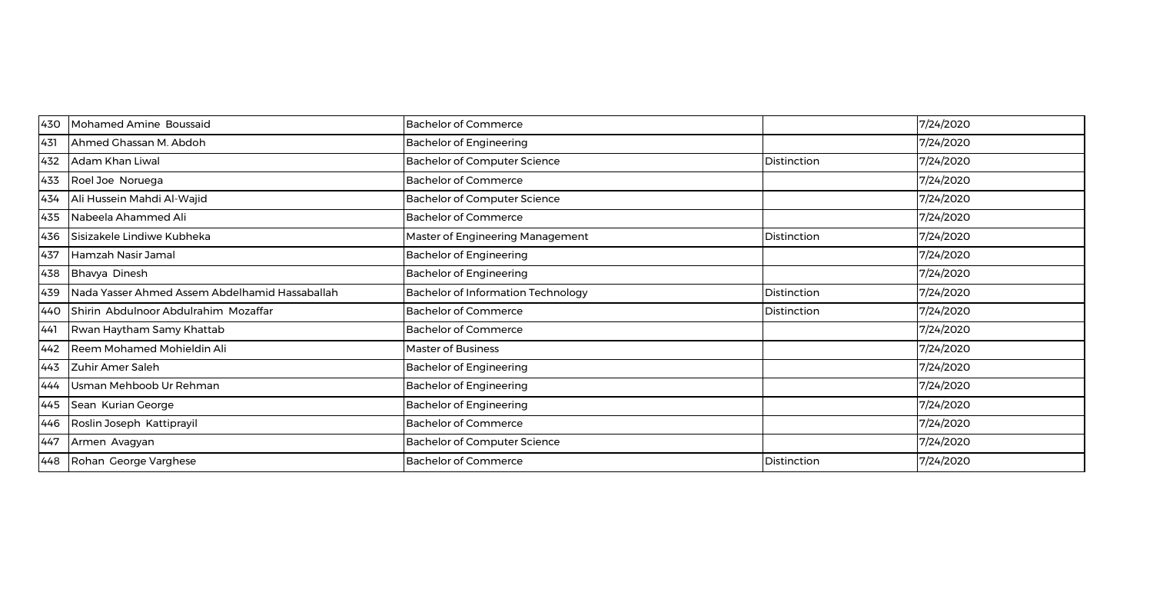| 430 | Mohamed Amine Boussaid                         | <b>Bachelor of Commerce</b>         |             | 7/24/2020 |
|-----|------------------------------------------------|-------------------------------------|-------------|-----------|
| 431 | Ahmed Ghassan M. Abdoh                         | <b>Bachelor of Engineering</b>      |             | 7/24/2020 |
| 432 | Adam Khan Liwal                                | <b>Bachelor of Computer Science</b> | Distinction | 7/24/2020 |
| 433 | Roel Joe Noruega                               | <b>Bachelor of Commerce</b>         |             | 7/24/2020 |
| 434 | Ali Hussein Mahdi Al-Wajid                     | <b>Bachelor of Computer Science</b> |             | 7/24/2020 |
| 435 | Nabeela Ahammed Ali                            | <b>Bachelor of Commerce</b>         |             | 7/24/2020 |
| 436 | Sisizakele Lindiwe Kubheka                     | Master of Engineering Management    | Distinction | 7/24/2020 |
| 437 | Hamzah Nasir Jamal                             | <b>Bachelor of Engineering</b>      |             | 7/24/2020 |
| 438 | Bhavya Dinesh                                  | <b>Bachelor of Engineering</b>      |             | 7/24/2020 |
| 439 | Nada Yasser Ahmed Assem Abdelhamid Hassaballah | Bachelor of Information Technology  | Distinction | 7/24/2020 |
| 440 | Shirin Abdulnoor Abdulrahim Mozaffar           | <b>Bachelor of Commerce</b>         | Distinction | 7/24/2020 |
| 441 | Rwan Haytham Samy Khattab                      | <b>Bachelor of Commerce</b>         |             | 7/24/2020 |
| 442 | Reem Mohamed Mohieldin Ali                     | Master of Business                  |             | 7/24/2020 |
| 443 | Zuhir Amer Saleh                               | <b>Bachelor of Engineering</b>      |             | 7/24/2020 |
| 444 | Usman Mehboob Ur Rehman                        | <b>Bachelor of Engineering</b>      |             | 7/24/2020 |
| 445 | Sean Kurian George                             | <b>Bachelor of Engineering</b>      |             | 7/24/2020 |
| 446 | Roslin Joseph Kattiprayil                      | <b>Bachelor of Commerce</b>         |             | 7/24/2020 |
| 447 | Armen Avagyan                                  | <b>Bachelor of Computer Science</b> |             | 7/24/2020 |
| 448 | Rohan George Varghese                          | <b>Bachelor of Commerce</b>         | Distinction | 7/24/2020 |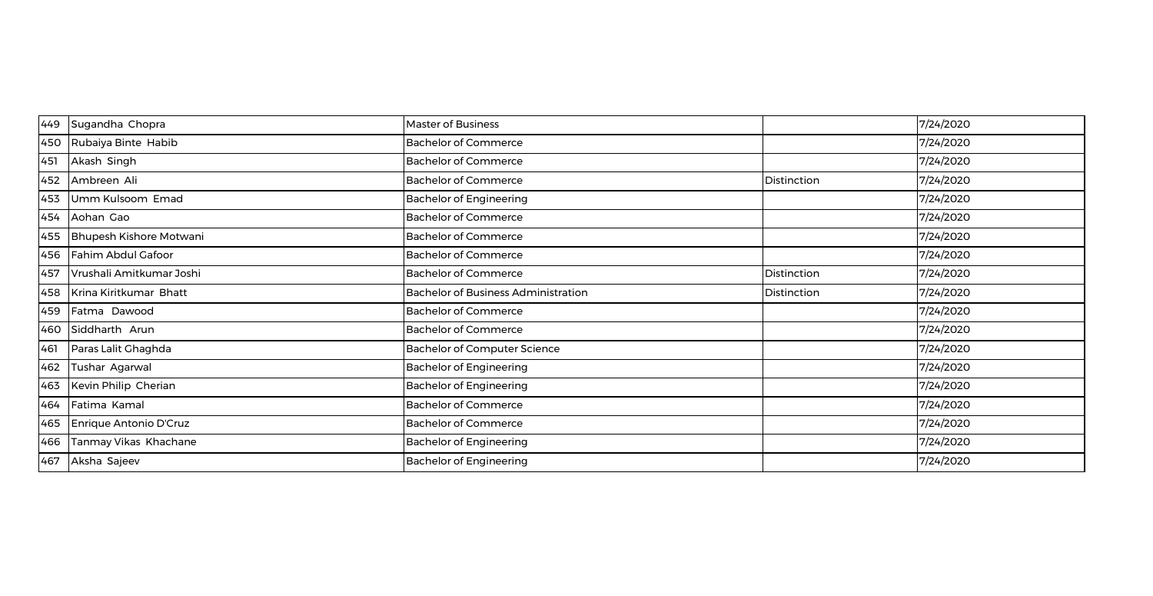| 449 | Sugandha Chopra          | <b>Master of Business</b>                  |             | 7/24/2020 |
|-----|--------------------------|--------------------------------------------|-------------|-----------|
| 450 | Rubaiya Binte Habib      | <b>Bachelor of Commerce</b>                |             | 7/24/2020 |
| 451 | Akash Singh              | <b>Bachelor of Commerce</b>                |             | 7/24/2020 |
| 452 | Ambreen Ali              | <b>Bachelor of Commerce</b>                | Distinction | 7/24/2020 |
| 453 | Umm Kulsoom Emad         | <b>Bachelor of Engineering</b>             |             | 7/24/2020 |
| 454 | Aohan Gao                | <b>Bachelor of Commerce</b>                |             | 7/24/2020 |
| 455 | Bhupesh Kishore Motwani  | <b>Bachelor of Commerce</b>                |             | 7/24/2020 |
| 456 | Fahim Abdul Gafoor       | <b>Bachelor of Commerce</b>                |             | 7/24/2020 |
| 457 | Vrushali Amitkumar Joshi | <b>Bachelor of Commerce</b>                | Distinction | 7/24/2020 |
| 458 | Krina Kiritkumar Bhatt   | <b>Bachelor of Business Administration</b> | Distinction | 7/24/2020 |
| 459 | Fatma Dawood             | <b>Bachelor of Commerce</b>                |             | 7/24/2020 |
| 460 | Siddharth Arun           | <b>Bachelor of Commerce</b>                |             | 7/24/2020 |
| 461 | Paras Lalit Ghaghda      | <b>Bachelor of Computer Science</b>        |             | 7/24/2020 |
| 462 | Tushar Agarwal           | <b>Bachelor of Engineering</b>             |             | 7/24/2020 |
| 463 | Kevin Philip Cherian     | <b>Bachelor of Engineering</b>             |             | 7/24/2020 |
| 464 | Fatima Kamal             | <b>Bachelor of Commerce</b>                |             | 7/24/2020 |
| 465 | Enrique Antonio D'Cruz   | <b>Bachelor of Commerce</b>                |             | 7/24/2020 |
| 466 | Tanmay Vikas Khachane    | <b>Bachelor of Engineering</b>             |             | 7/24/2020 |
| 467 | Aksha Sajeev             | <b>Bachelor of Engineering</b>             |             | 7/24/2020 |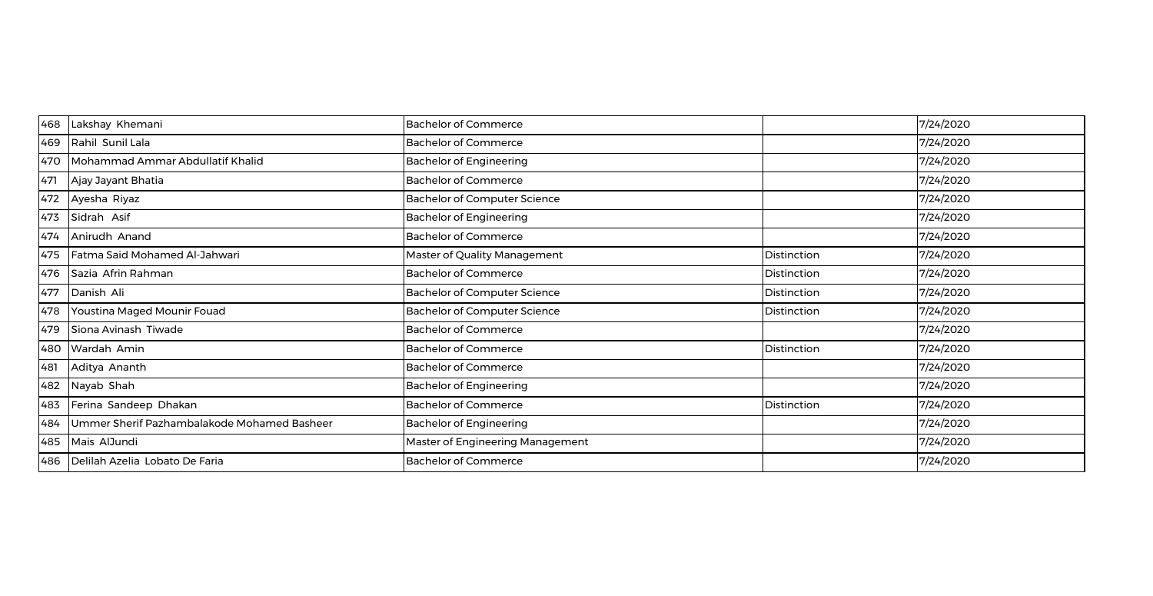| 468 | Lakshay Khemani                             | <b>Bachelor of Commerce</b>         |             | 7/24/2020 |
|-----|---------------------------------------------|-------------------------------------|-------------|-----------|
| 469 | Rahil Sunil Lala                            | <b>Bachelor of Commerce</b>         |             | 7/24/2020 |
| 470 | Mohammad Ammar Abdullatif Khalid            | <b>Bachelor of Engineering</b>      |             | 7/24/2020 |
| 471 | Ajay Jayant Bhatia                          | <b>Bachelor of Commerce</b>         |             | 7/24/2020 |
| 472 | Ayesha Riyaz                                | <b>Bachelor of Computer Science</b> |             | 7/24/2020 |
| 473 | Sidrah Asif                                 | <b>Bachelor of Engineering</b>      |             | 7/24/2020 |
| 474 | Anirudh Anand                               | <b>Bachelor of Commerce</b>         |             | 7/24/2020 |
| 475 | Fatma Said Mohamed Al-Jahwari               | Master of Quality Management        | Distinction | 7/24/2020 |
| 476 | Sazia Afrin Rahman                          | <b>Bachelor of Commerce</b>         | Distinction | 7/24/2020 |
| 477 | Danish Ali                                  | <b>Bachelor of Computer Science</b> | Distinction | 7/24/2020 |
| 478 | Youstina Maged Mounir Fouad                 | <b>Bachelor of Computer Science</b> | Distinction | 7/24/2020 |
| 479 | Siona Avinash Tiwade                        | <b>Bachelor of Commerce</b>         |             | 7/24/2020 |
| 480 | Wardah Amin                                 | <b>Bachelor of Commerce</b>         | Distinction | 7/24/2020 |
| 481 | Aditya Ananth                               | <b>Bachelor of Commerce</b>         |             | 7/24/2020 |
| 482 | Nayab Shah                                  | <b>Bachelor of Engineering</b>      |             | 7/24/2020 |
| 483 | Ferina Sandeep Dhakan                       | <b>Bachelor of Commerce</b>         | Distinction | 7/24/2020 |
| 484 | Ummer Sherif Pazhambalakode Mohamed Basheer | <b>Bachelor of Engineering</b>      |             | 7/24/2020 |
| 485 | Mais AlJundi                                | Master of Engineering Management    |             | 7/24/2020 |
| 486 | Delilah Azelia Lobato De Faria              | <b>Bachelor of Commerce</b>         |             | 7/24/2020 |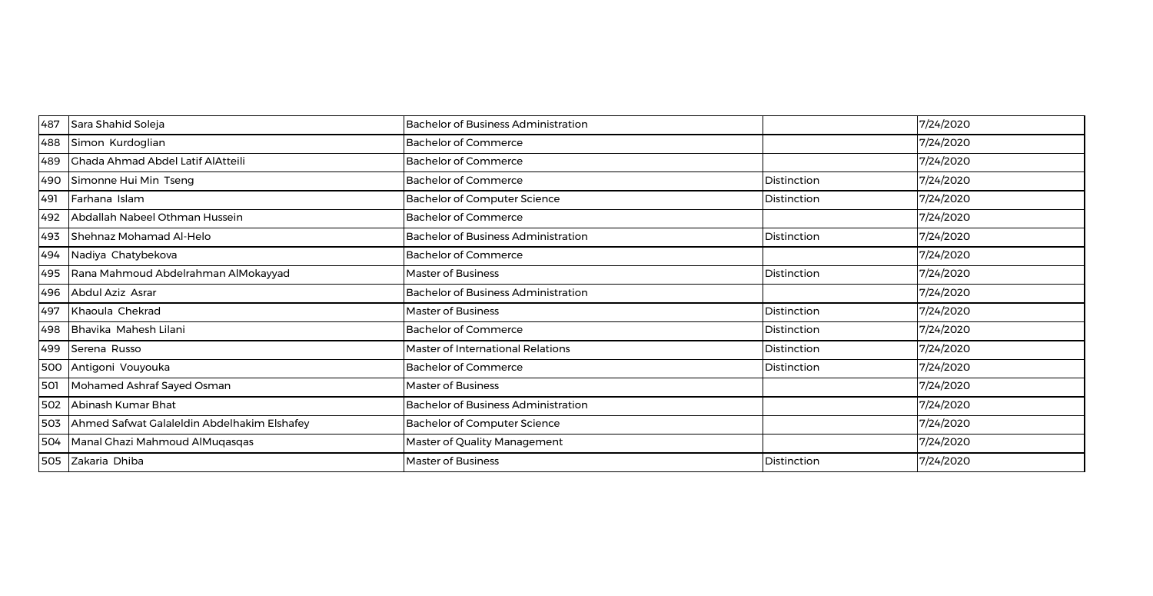| 487 | Sara Shahid Soleja                          | <b>Bachelor of Business Administration</b> |             | 7/24/2020 |
|-----|---------------------------------------------|--------------------------------------------|-------------|-----------|
| 488 | Simon Kurdoglian                            | <b>Bachelor of Commerce</b>                |             | 7/24/2020 |
| 489 | <b>Chada Ahmad Abdel Latif AlAtteili</b>    | <b>Bachelor of Commerce</b>                |             | 7/24/2020 |
| 490 | Simonne Hui Min Tseng                       | <b>Bachelor of Commerce</b>                | Distinction | 7/24/2020 |
| 491 | Farhana Islam                               | <b>Bachelor of Computer Science</b>        | Distinction | 7/24/2020 |
| 492 | Abdallah Nabeel Othman Hussein              | <b>Bachelor of Commerce</b>                |             | 7/24/2020 |
| 493 | Shehnaz Mohamad Al-Helo                     | <b>Bachelor of Business Administration</b> | Distinction | 7/24/2020 |
| 494 | Nadiya Chatybekova                          | <b>Bachelor of Commerce</b>                |             | 7/24/2020 |
| 495 | Rana Mahmoud Abdelrahman AlMokayyad         | Master of Business                         | Distinction | 7/24/2020 |
| 496 | Abdul Aziz Asrar                            | <b>Bachelor of Business Administration</b> |             | 7/24/2020 |
| 497 | Khaoula Chekrad                             | Master of Business                         | Distinction | 7/24/2020 |
| 498 | Bhavika Mahesh Lilani                       | <b>Bachelor of Commerce</b>                | Distinction | 7/24/2020 |
| 499 | Serena Russo                                | Master of International Relations          | Distinction | 7/24/2020 |
| 500 | Antigoni Vouyouka                           | <b>Bachelor of Commerce</b>                | Distinction | 7/24/2020 |
| 501 | Mohamed Ashraf Sayed Osman                  | <b>Master of Business</b>                  |             | 7/24/2020 |
| 502 | Abinash Kumar Bhat                          | <b>Bachelor of Business Administration</b> |             | 7/24/2020 |
| 503 | Ahmed Safwat Galaleldin Abdelhakim Elshafey | <b>Bachelor of Computer Science</b>        |             | 7/24/2020 |
| 504 | Manal Ghazi Mahmoud AlMuqasqas              | Master of Quality Management               |             | 7/24/2020 |
| 505 | Zakaria Dhiba                               | <b>Master of Business</b>                  | Distinction | 7/24/2020 |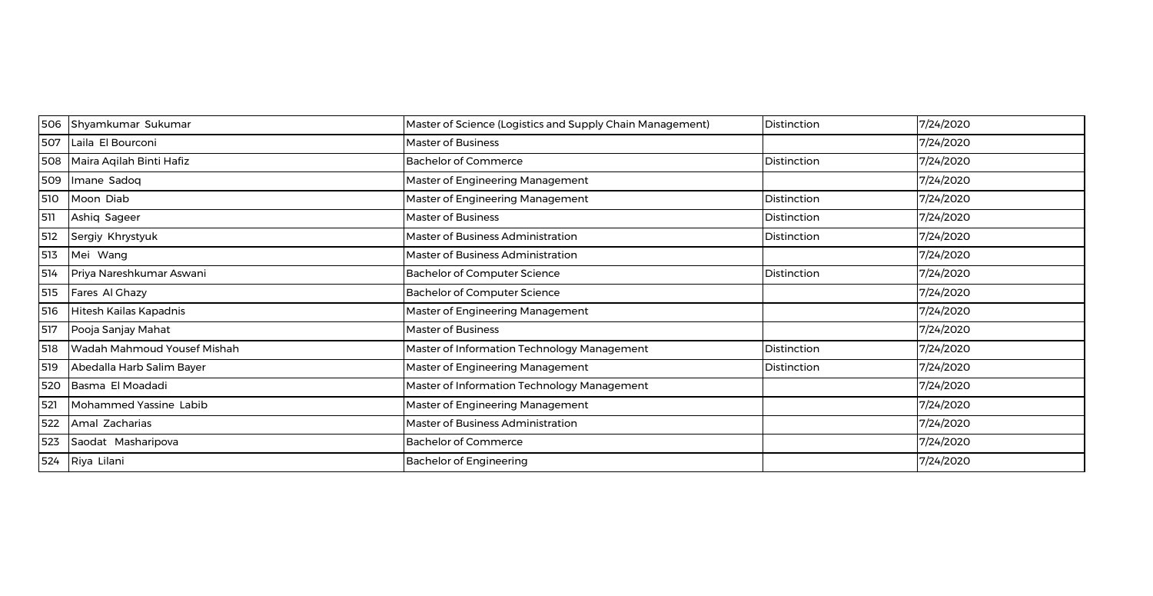| 506 | Shyamkumar Sukumar          | Master of Science (Logistics and Supply Chain Management) | Distinction | 7/24/2020 |
|-----|-----------------------------|-----------------------------------------------------------|-------------|-----------|
| 507 | Laila El Bourconi           | <b>Master of Business</b>                                 |             | 7/24/2020 |
| 508 | Maira Aqilah Binti Hafiz    | <b>Bachelor of Commerce</b>                               | Distinction | 7/24/2020 |
| 509 | Imane Sadoq                 | Master of Engineering Management                          |             | 7/24/2020 |
| 510 | Moon Diab                   | Master of Engineering Management                          | Distinction | 7/24/2020 |
| 511 | Ashiq Sageer                | <b>Master of Business</b>                                 | Distinction | 7/24/2020 |
| 512 | Sergiy Khrystyuk            | Master of Business Administration                         | Distinction | 7/24/2020 |
| 513 | Mei Wang                    | Master of Business Administration                         |             | 7/24/2020 |
| 514 | Priya Nareshkumar Aswani    | <b>Bachelor of Computer Science</b>                       | Distinction | 7/24/2020 |
| 515 | Fares Al Ghazy              | <b>Bachelor of Computer Science</b>                       |             | 7/24/2020 |
| 516 | Hitesh Kailas Kapadnis      | Master of Engineering Management                          |             | 7/24/2020 |
| 517 | Pooja Sanjay Mahat          | Master of Business                                        |             | 7/24/2020 |
| 518 | Wadah Mahmoud Yousef Mishah | Master of Information Technology Management               | Distinction | 7/24/2020 |
| 519 | Abedalla Harb Salim Bayer   | Master of Engineering Management                          | Distinction | 7/24/2020 |
| 520 | Basma El Moadadi            | Master of Information Technology Management               |             | 7/24/2020 |
| 521 | Mohammed Yassine Labib      | Master of Engineering Management                          |             | 7/24/2020 |
| 522 | Amal Zacharias              | Master of Business Administration                         |             | 7/24/2020 |
| 523 | Saodat Masharipova          | <b>Bachelor of Commerce</b>                               |             | 7/24/2020 |
| 524 | Riya Lilani                 | <b>Bachelor of Engineering</b>                            |             | 7/24/2020 |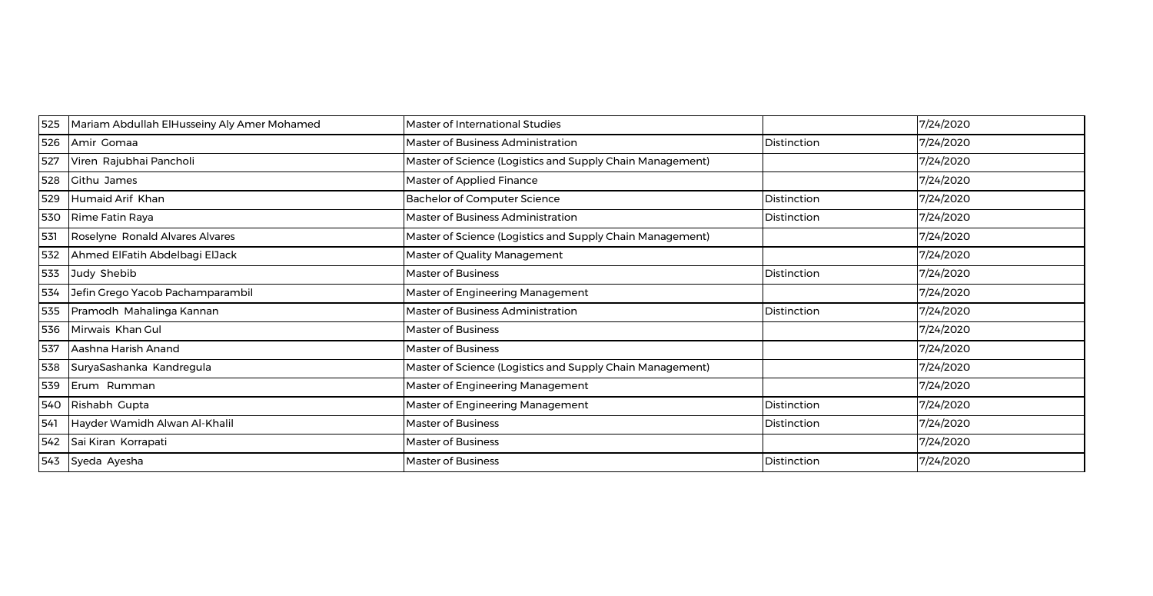| 525 | Mariam Abdullah ElHusseiny Aly Amer Mohamed | <b>Master of International Studies</b>                    |             | 7/24/2020 |
|-----|---------------------------------------------|-----------------------------------------------------------|-------------|-----------|
| 526 | Amir Gomaa                                  | Master of Business Administration                         | Distinction | 7/24/2020 |
| 527 | Viren Rajubhai Pancholi                     | Master of Science (Logistics and Supply Chain Management) |             | 7/24/2020 |
| 528 | Githu James                                 | Master of Applied Finance                                 |             | 7/24/2020 |
| 529 | Humaid Arif Khan                            | <b>Bachelor of Computer Science</b>                       | Distinction | 7/24/2020 |
| 530 | Rime Fatin Raya                             | Master of Business Administration                         | Distinction | 7/24/2020 |
| 531 | Roselyne Ronald Alvares Alvares             | Master of Science (Logistics and Supply Chain Management) |             | 7/24/2020 |
| 532 | Ahmed ElFatih Abdelbagi ElJack              | Master of Quality Management                              |             | 7/24/2020 |
| 533 | Judy Shebib                                 | <b>Master of Business</b>                                 | Distinction | 7/24/2020 |
| 534 | Jefin Grego Yacob Pachamparambil            | Master of Engineering Management                          |             | 7/24/2020 |
| 535 | Pramodh Mahalinga Kannan                    | Master of Business Administration                         | Distinction | 7/24/2020 |
| 536 | Mirwais Khan Gul                            | Master of Business                                        |             | 7/24/2020 |
| 537 | Aashna Harish Anand                         | Master of Business                                        |             | 7/24/2020 |
| 538 | SuryaSashanka Kandregula                    | Master of Science (Logistics and Supply Chain Management) |             | 7/24/2020 |
| 539 | Erum Rumman                                 | Master of Engineering Management                          |             | 7/24/2020 |
| 540 | Rishabh Gupta                               | Master of Engineering Management                          | Distinction | 7/24/2020 |
| 541 | Hayder Wamidh Alwan Al-Khalil               | <b>Master of Business</b>                                 | Distinction | 7/24/2020 |
| 542 | Sai Kiran Korrapati                         | Master of Business                                        |             | 7/24/2020 |
| 543 | Syeda Ayesha                                | <b>Master of Business</b>                                 | Distinction | 7/24/2020 |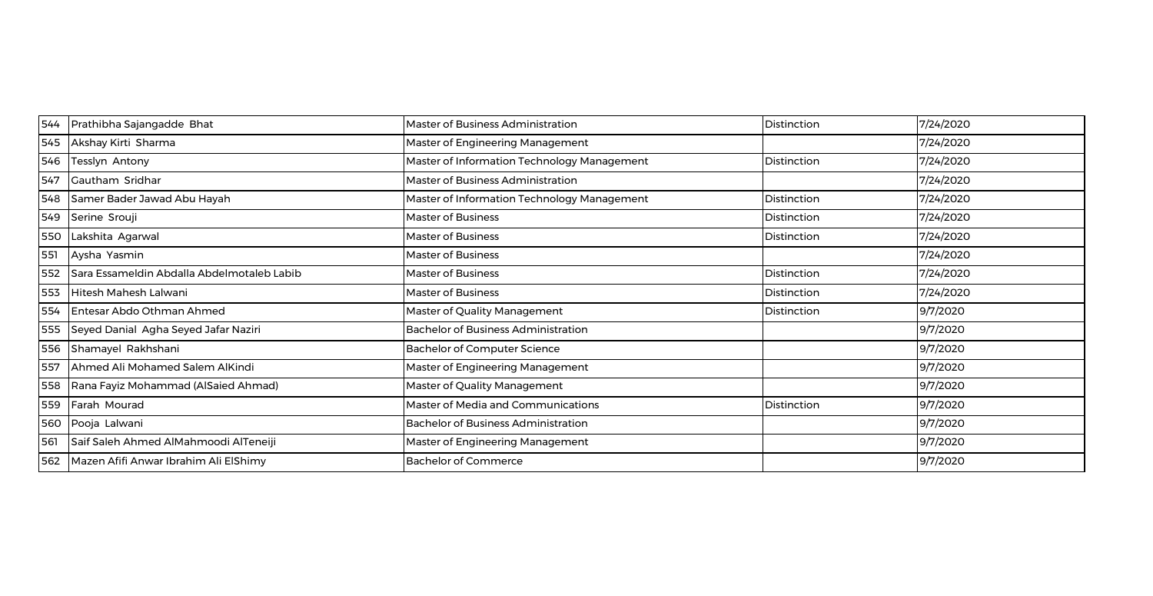| 544 | Prathibha Sajangadde Bhat                  | <b>Master of Business Administration</b>    | Distinction | 7/24/2020 |
|-----|--------------------------------------------|---------------------------------------------|-------------|-----------|
| 545 | Akshay Kirti Sharma                        | Master of Engineering Management            |             | 7/24/2020 |
| 546 | Tesslyn Antony                             | Master of Information Technology Management | Distinction | 7/24/2020 |
| 547 | Gautham Sridhar                            | Master of Business Administration           |             | 7/24/2020 |
| 548 | Samer Bader Jawad Abu Hayah                | Master of Information Technology Management | Distinction | 7/24/2020 |
| 549 | Serine Srouji                              | <b>Master of Business</b>                   | Distinction | 7/24/2020 |
| 550 | Lakshita Agarwal                           | <b>Master of Business</b>                   | Distinction | 7/24/2020 |
| 551 | Aysha Yasmin                               | <b>Master of Business</b>                   |             | 7/24/2020 |
| 552 | Sara Essameldin Abdalla Abdelmotaleb Labib | <b>Master of Business</b>                   | Distinction | 7/24/2020 |
| 553 | Hitesh Mahesh Lalwani                      | <b>Master of Business</b>                   | Distinction | 7/24/2020 |
| 554 | Entesar Abdo Othman Ahmed                  | Master of Quality Management                | Distinction | 9/7/2020  |
| 555 | Seyed Danial Agha Seyed Jafar Naziri       | <b>Bachelor of Business Administration</b>  |             | 9/7/2020  |
| 556 | Shamayel Rakhshani                         | <b>Bachelor of Computer Science</b>         |             | 9/7/2020  |
| 557 | Ahmed Ali Mohamed Salem AlKindi            | Master of Engineering Management            |             | 9/7/2020  |
| 558 | Rana Fayiz Mohammad (AlSaied Ahmad)        | Master of Quality Management                |             | 9/7/2020  |
| 559 | Farah Mourad                               | Master of Media and Communications          | Distinction | 9/7/2020  |
| 560 | Pooja Lalwani                              | <b>Bachelor of Business Administration</b>  |             | 9/7/2020  |
| 561 | Saif Saleh Ahmed AlMahmoodi AlTeneiji      | Master of Engineering Management            |             | 9/7/2020  |
| 562 | Mazen Afifi Anwar Ibrahim Ali ElShimy      | <b>Bachelor of Commerce</b>                 |             | 9/7/2020  |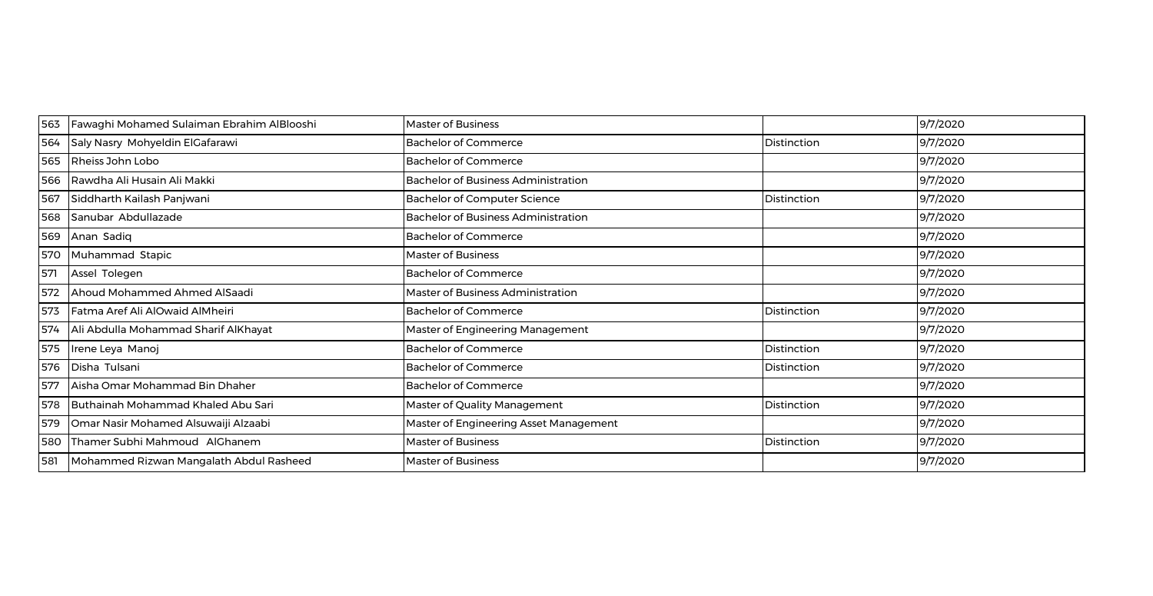| 563 | Fawaghi Mohamed Sulaiman Ebrahim AlBlooshi | <b>Master of Business</b>                  |             | 9/7/2020 |
|-----|--------------------------------------------|--------------------------------------------|-------------|----------|
| 564 | Saly Nasry Mohyeldin ElGafarawi            | <b>Bachelor of Commerce</b>                | Distinction | 9/7/2020 |
| 565 | Rheiss John Lobo                           | <b>Bachelor of Commerce</b>                |             | 9/7/2020 |
| 566 | Rawdha Ali Husain Ali Makki                | <b>Bachelor of Business Administration</b> |             | 9/7/2020 |
| 567 | Siddharth Kailash Panjwani                 | <b>Bachelor of Computer Science</b>        | Distinction | 9/7/2020 |
| 568 | Sanubar Abdullazade                        | <b>Bachelor of Business Administration</b> |             | 9/7/2020 |
| 569 | Anan Sadiq                                 | <b>Bachelor of Commerce</b>                |             | 9/7/2020 |
| 570 | Muhammad Stapic                            | <b>Master of Business</b>                  |             | 9/7/2020 |
| 571 | Assel Tolegen                              | <b>Bachelor of Commerce</b>                |             | 9/7/2020 |
| 572 | Ahoud Mohammed Ahmed AlSaadi               | Master of Business Administration          |             | 9/7/2020 |
| 573 | Fatma Aref Ali AlOwaid AlMheiri            | <b>Bachelor of Commerce</b>                | Distinction | 9/7/2020 |
| 574 | Ali Abdulla Mohammad Sharif AlKhayat       | Master of Engineering Management           |             | 9/7/2020 |
| 575 | Irene Leya Manoj                           | <b>Bachelor of Commerce</b>                | Distinction | 9/7/2020 |
| 576 | Disha Tulsani                              | <b>Bachelor of Commerce</b>                | Distinction | 9/7/2020 |
| 577 | Aisha Omar Mohammad Bin Dhaher             | <b>Bachelor of Commerce</b>                |             | 9/7/2020 |
| 578 | Buthainah Mohammad Khaled Abu Sari         | Master of Quality Management               | Distinction | 9/7/2020 |
| 579 | Omar Nasir Mohamed Alsuwaiji Alzaabi       | Master of Engineering Asset Management     |             | 9/7/2020 |
| 580 | Thamer Subhi Mahmoud AlGhanem              | <b>Master of Business</b>                  | Distinction | 9/7/2020 |
| 581 | Mohammed Rizwan Mangalath Abdul Rasheed    | <b>Master of Business</b>                  |             | 9/7/2020 |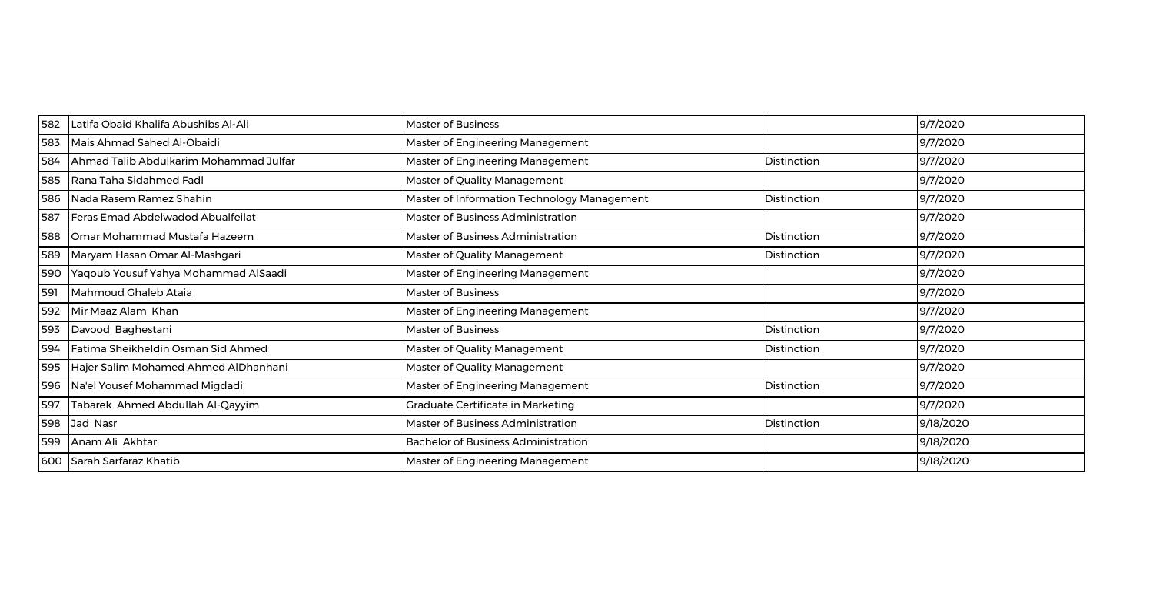| 582 | Latifa Obaid Khalifa Abushibs Al-Ali   | <b>Master of Business</b>                   |             | 9/7/2020  |
|-----|----------------------------------------|---------------------------------------------|-------------|-----------|
| 583 | Mais Ahmad Sahed Al-Obaidi             | Master of Engineering Management            |             | 9/7/2020  |
| 584 | Ahmad Talib Abdulkarim Mohammad Julfar | Master of Engineering Management            | Distinction | 9/7/2020  |
| 585 | Rana Taha Sidahmed Fadl                | Master of Quality Management                |             | 9/7/2020  |
| 586 | Nada Rasem Ramez Shahin                | Master of Information Technology Management | Distinction | 9/7/2020  |
| 587 | Feras Emad Abdelwadod Abualfeilat      | Master of Business Administration           |             | 9/7/2020  |
| 588 | Omar Mohammad Mustafa Hazeem           | Master of Business Administration           | Distinction | 9/7/2020  |
| 589 | Maryam Hasan Omar Al-Mashgari          | Master of Quality Management                | Distinction | 9/7/2020  |
| 590 | Yaqoub Yousuf Yahya Mohammad AlSaadi   | Master of Engineering Management            |             | 9/7/2020  |
| 591 | Mahmoud Ghaleb Ataia                   | Master of Business                          |             | 9/7/2020  |
| 592 | Mir Maaz Alam Khan                     | Master of Engineering Management            |             | 9/7/2020  |
| 593 | Davood Baghestani                      | Master of Business                          | Distinction | 9/7/2020  |
| 594 | Fatima Sheikheldin Osman Sid Ahmed     | Master of Quality Management                | Distinction | 9/7/2020  |
| 595 | Hajer Salim Mohamed Ahmed AlDhanhani   | Master of Quality Management                |             | 9/7/2020  |
| 596 | Na'el Yousef Mohammad Migdadi          | Master of Engineering Management            | Distinction | 9/7/2020  |
| 597 | Tabarek Ahmed Abdullah Al-Qayyim       | Graduate Certificate in Marketing           |             | 9/7/2020  |
| 598 | Jad Nasr                               | Master of Business Administration           | Distinction | 9/18/2020 |
| 599 | Anam Ali Akhtar                        | <b>Bachelor of Business Administration</b>  |             | 9/18/2020 |
| 600 | Sarah Sarfaraz Khatib                  | Master of Engineering Management            |             | 9/18/2020 |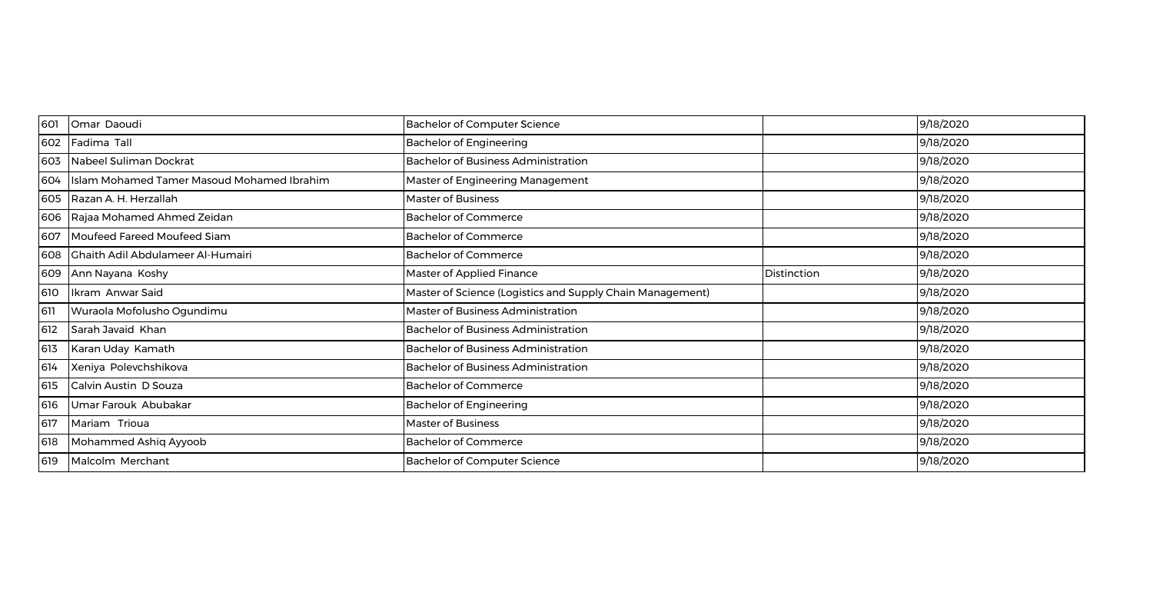| 601 | Omar Daoudi                                | <b>Bachelor of Computer Science</b>                       |             | 9/18/2020 |
|-----|--------------------------------------------|-----------------------------------------------------------|-------------|-----------|
| 602 | Fadima Tall                                | <b>Bachelor of Engineering</b>                            |             | 9/18/2020 |
| 603 | Nabeel Suliman Dockrat                     | <b>Bachelor of Business Administration</b>                |             | 9/18/2020 |
| 604 | Islam Mohamed Tamer Masoud Mohamed Ibrahim | Master of Engineering Management                          |             | 9/18/2020 |
| 605 | Razan A. H. Herzallah                      | <b>Master of Business</b>                                 |             | 9/18/2020 |
| 606 | Rajaa Mohamed Ahmed Zeidan                 | <b>Bachelor of Commerce</b>                               |             | 9/18/2020 |
| 607 | Moufeed Fareed Moufeed Siam                | <b>Bachelor of Commerce</b>                               |             | 9/18/2020 |
| 608 | Ghaith Adil Abdulameer Al-Humairi          | <b>Bachelor of Commerce</b>                               |             | 9/18/2020 |
| 609 | Ann Nayana Koshy                           | Master of Applied Finance                                 | Distinction | 9/18/2020 |
| 610 | Ikram Anwar Said                           | Master of Science (Logistics and Supply Chain Management) |             | 9/18/2020 |
| 611 | Wuraola Mofolusho Ogundimu                 | Master of Business Administration                         |             | 9/18/2020 |
| 612 | Sarah Javaid Khan                          | <b>Bachelor of Business Administration</b>                |             | 9/18/2020 |
| 613 | Karan Uday Kamath                          | <b>Bachelor of Business Administration</b>                |             | 9/18/2020 |
| 614 | Xeniya Polevchshikova                      | <b>Bachelor of Business Administration</b>                |             | 9/18/2020 |
| 615 | Calvin Austin D Souza                      | <b>Bachelor of Commerce</b>                               |             | 9/18/2020 |
| 616 | Umar Farouk Abubakar                       | <b>Bachelor of Engineering</b>                            |             | 9/18/2020 |
| 617 | Mariam Trioua                              | <b>Master of Business</b>                                 |             | 9/18/2020 |
| 618 | Mohammed Ashiq Ayyoob                      | <b>Bachelor of Commerce</b>                               |             | 9/18/2020 |
| 619 | Malcolm Merchant                           | <b>Bachelor of Computer Science</b>                       |             | 9/18/2020 |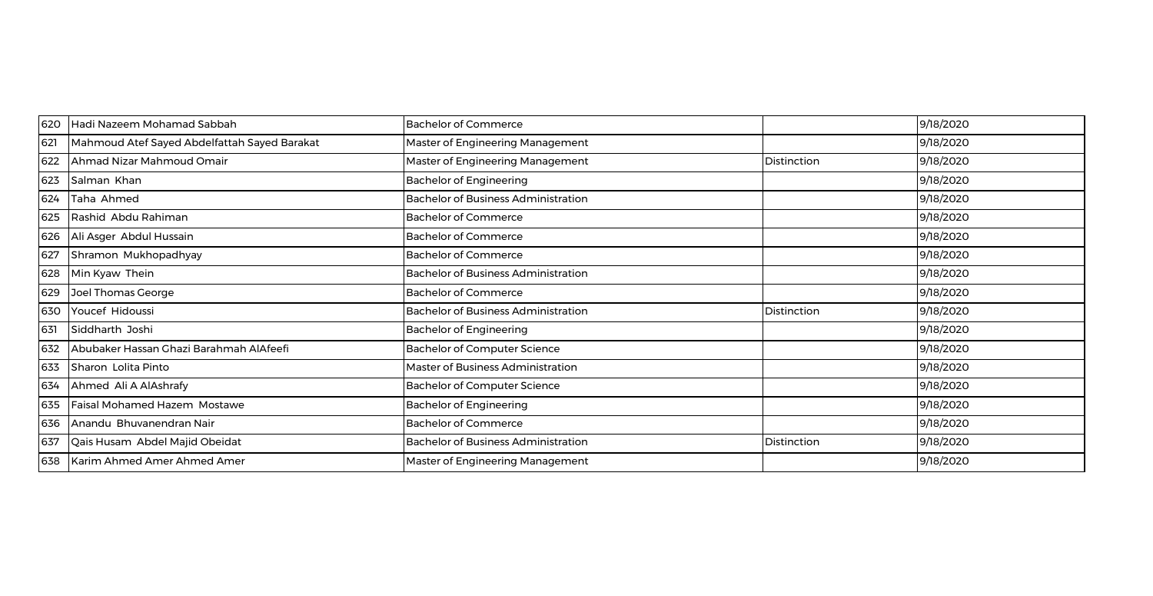| 620 | Hadi Nazeem Mohamad Sabbah                   | <b>Bachelor of Commerce</b>                |             | 9/18/2020 |
|-----|----------------------------------------------|--------------------------------------------|-------------|-----------|
| 621 | Mahmoud Atef Sayed Abdelfattah Sayed Barakat | Master of Engineering Management           |             | 9/18/2020 |
| 622 | Ahmad Nizar Mahmoud Omair                    | Master of Engineering Management           | Distinction | 9/18/2020 |
| 623 | Salman Khan                                  | <b>Bachelor of Engineering</b>             |             | 9/18/2020 |
| 624 | Taha Ahmed                                   | <b>Bachelor of Business Administration</b> |             | 9/18/2020 |
| 625 | Rashid Abdu Rahiman                          | <b>Bachelor of Commerce</b>                |             | 9/18/2020 |
| 626 | Ali Asger Abdul Hussain                      | <b>Bachelor of Commerce</b>                |             | 9/18/2020 |
| 627 | Shramon Mukhopadhyay                         | <b>Bachelor of Commerce</b>                |             | 9/18/2020 |
| 628 | Min Kyaw Thein                               | <b>Bachelor of Business Administration</b> |             | 9/18/2020 |
| 629 | Joel Thomas George                           | <b>Bachelor of Commerce</b>                |             | 9/18/2020 |
| 630 | Youcef Hidoussi                              | <b>Bachelor of Business Administration</b> | Distinction | 9/18/2020 |
| 631 | Siddharth Joshi                              | <b>Bachelor of Engineering</b>             |             | 9/18/2020 |
| 632 | Abubaker Hassan Ghazi Barahmah AlAfeefi      | <b>Bachelor of Computer Science</b>        |             | 9/18/2020 |
| 633 | Sharon Lolita Pinto                          | Master of Business Administration          |             | 9/18/2020 |
| 634 | Ahmed Ali A AlAshrafy                        | <b>Bachelor of Computer Science</b>        |             | 9/18/2020 |
| 635 | Faisal Mohamed Hazem Mostawe                 | <b>Bachelor of Engineering</b>             |             | 9/18/2020 |
| 636 | Anandu Bhuvanendran Nair                     | <b>Bachelor of Commerce</b>                |             | 9/18/2020 |
| 637 | Qais Husam Abdel Majid Obeidat               | <b>Bachelor of Business Administration</b> | Distinction | 9/18/2020 |
| 638 | Karim Ahmed Amer Ahmed Amer                  | Master of Engineering Management           |             | 9/18/2020 |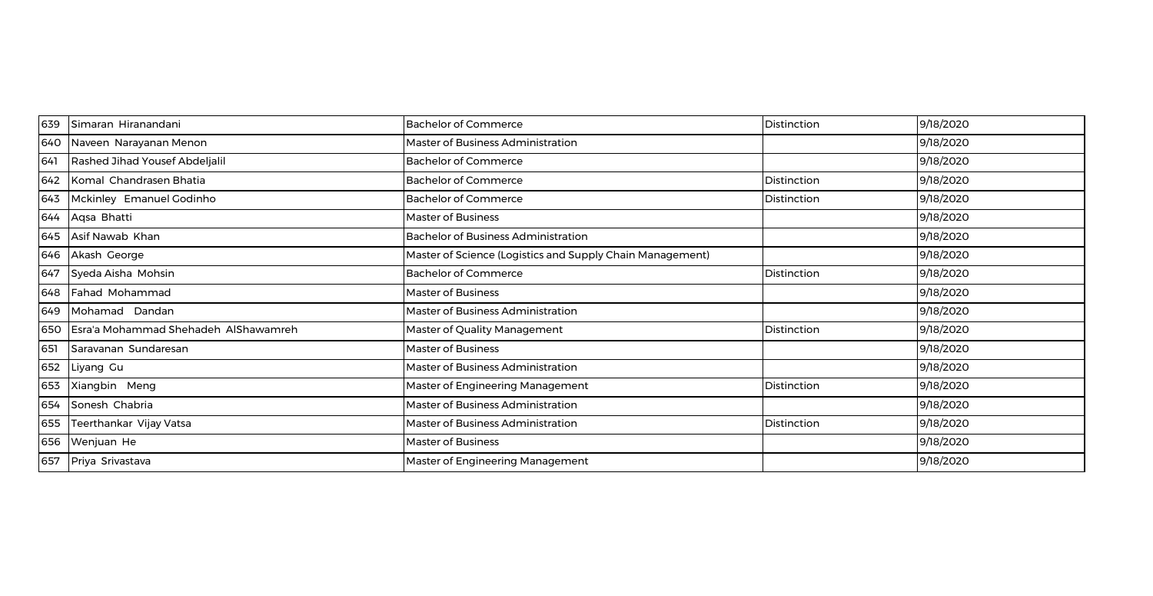| 639 | Simaran Hiranandani                  | <b>Bachelor of Commerce</b>                               | Distinction | 9/18/2020 |
|-----|--------------------------------------|-----------------------------------------------------------|-------------|-----------|
| 640 | Naveen Narayanan Menon               | <b>Master of Business Administration</b>                  |             | 9/18/2020 |
| 641 | Rashed Jihad Yousef Abdeljalil       | <b>Bachelor of Commerce</b>                               |             | 9/18/2020 |
| 642 | Komal Chandrasen Bhatia              | <b>Bachelor of Commerce</b>                               | Distinction | 9/18/2020 |
| 643 | Mckinley Emanuel Godinho             | <b>Bachelor of Commerce</b>                               | Distinction | 9/18/2020 |
| 644 | Aqsa Bhatti                          | <b>Master of Business</b>                                 |             | 9/18/2020 |
| 645 | Asif Nawab Khan                      | <b>Bachelor of Business Administration</b>                |             | 9/18/2020 |
| 646 | Akash George                         | Master of Science (Logistics and Supply Chain Management) |             | 9/18/2020 |
| 647 | Syeda Aisha Mohsin                   | <b>Bachelor of Commerce</b>                               | Distinction | 9/18/2020 |
| 648 | Fahad Mohammad                       | <b>Master of Business</b>                                 |             | 9/18/2020 |
| 649 | Mohamad Dandan                       | Master of Business Administration                         |             | 9/18/2020 |
| 650 | Esra'a Mohammad Shehadeh AlShawamreh | Master of Quality Management                              | Distinction | 9/18/2020 |
| 651 | Saravanan Sundaresan                 | <b>Master of Business</b>                                 |             | 9/18/2020 |
| 652 | Liyang Gu                            | Master of Business Administration                         |             | 9/18/2020 |
| 653 | Xiangbin Meng                        | Master of Engineering Management                          | Distinction | 9/18/2020 |
| 654 | Sonesh Chabria                       | Master of Business Administration                         |             | 9/18/2020 |
| 655 | Teerthankar Vijay Vatsa              | Master of Business Administration                         | Distinction | 9/18/2020 |
| 656 | Wenjuan He                           | <b>Master of Business</b>                                 |             | 9/18/2020 |
| 657 | Priya Srivastava                     | Master of Engineering Management                          |             | 9/18/2020 |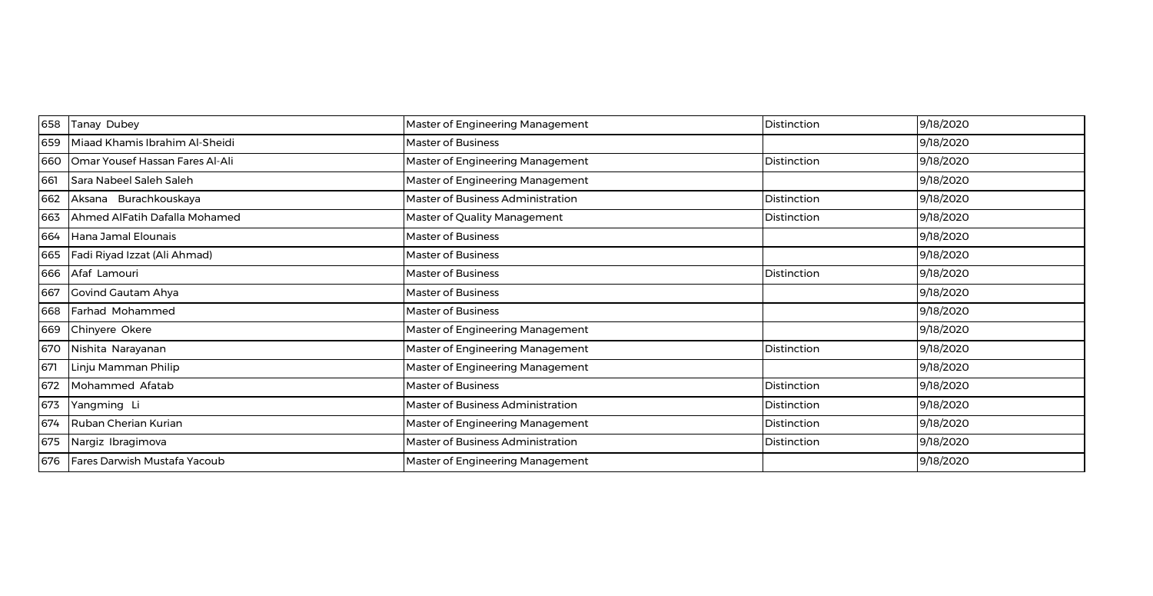| 658 | Tanay Dubey                     | Master of Engineering Management  | Distinction | 9/18/2020 |
|-----|---------------------------------|-----------------------------------|-------------|-----------|
| 659 | Miaad Khamis Ibrahim Al-Sheidi  | <b>Master of Business</b>         |             | 9/18/2020 |
| 660 | Omar Yousef Hassan Fares Al-Ali | Master of Engineering Management  | Distinction | 9/18/2020 |
| 661 | Sara Nabeel Saleh Saleh         | Master of Engineering Management  |             | 9/18/2020 |
| 662 | Aksana Burachkouskaya           | Master of Business Administration | Distinction | 9/18/2020 |
| 663 | Ahmed AlFatih Dafalla Mohamed   | Master of Quality Management      | Distinction | 9/18/2020 |
| 664 | Hana Jamal Elounais             | <b>Master of Business</b>         |             | 9/18/2020 |
| 665 | Fadi Riyad Izzat (Ali Ahmad)    | <b>Master of Business</b>         |             | 9/18/2020 |
| 666 | Afaf Lamouri                    | Master of Business                | Distinction | 9/18/2020 |
| 667 | Govind Gautam Ahya              | Master of Business                |             | 9/18/2020 |
| 668 | Farhad Mohammed                 | <b>Master of Business</b>         |             | 9/18/2020 |
| 669 | Chinyere Okere                  | Master of Engineering Management  |             | 9/18/2020 |
| 670 | Nishita Narayanan               | Master of Engineering Management  | Distinction | 9/18/2020 |
| 671 | Linju Mamman Philip             | Master of Engineering Management  |             | 9/18/2020 |
| 672 | Mohammed Afatab                 | <b>Master of Business</b>         | Distinction | 9/18/2020 |
| 673 | Yangming Li                     | Master of Business Administration | Distinction | 9/18/2020 |
| 674 | Ruban Cherian Kurian            | Master of Engineering Management  | Distinction | 9/18/2020 |
| 675 | Nargiz Ibragimova               | Master of Business Administration | Distinction | 9/18/2020 |
| 676 | Fares Darwish Mustafa Yacoub    | Master of Engineering Management  |             | 9/18/2020 |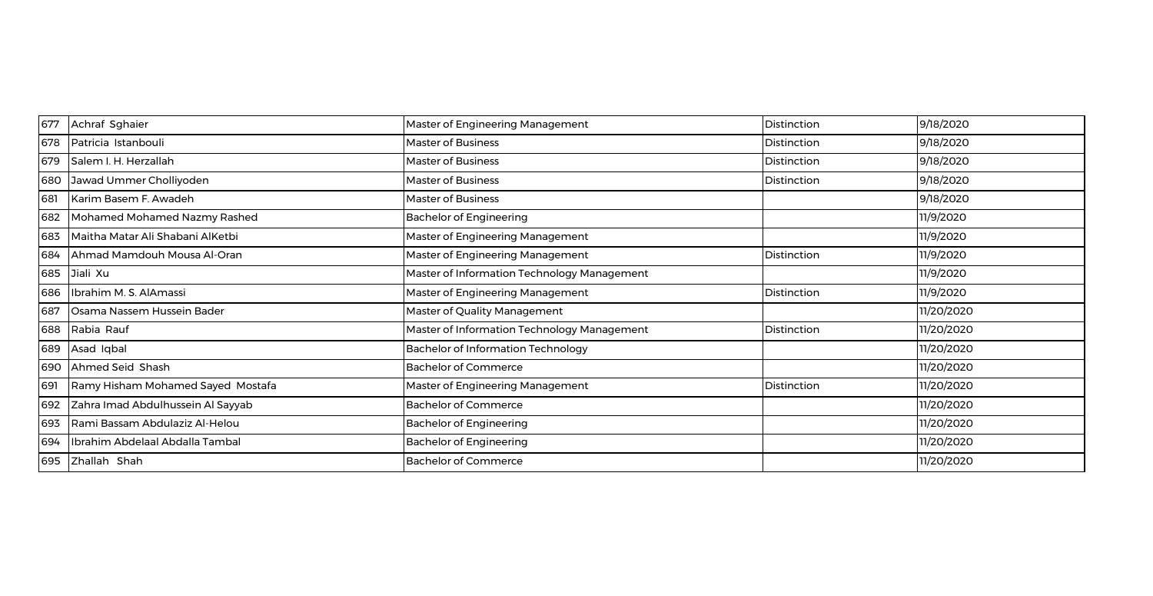| 677 | Achraf Sghaier                    | Master of Engineering Management            | Distinction | 9/18/2020  |
|-----|-----------------------------------|---------------------------------------------|-------------|------------|
| 678 | Patricia Istanbouli               | Master of Business                          | Distinction | 9/18/2020  |
| 679 | Salem I. H. Herzallah             | Master of Business                          | Distinction | 9/18/2020  |
| 680 | Jawad Ummer Cholliyoden           | Master of Business                          | Distinction | 9/18/2020  |
| 681 | Karim Basem F. Awadeh             | <b>Master of Business</b>                   |             | 9/18/2020  |
| 682 | Mohamed Mohamed Nazmy Rashed      | <b>Bachelor of Engineering</b>              |             | 11/9/2020  |
| 683 | Maitha Matar Ali Shabani AlKetbi  | Master of Engineering Management            |             | 11/9/2020  |
| 684 | Ahmad Mamdouh Mousa Al-Oran       | Master of Engineering Management            | Distinction | 11/9/2020  |
| 685 | Jiali Xu                          | Master of Information Technology Management |             | 11/9/2020  |
| 686 | Ibrahim M. S. AlAmassi            | Master of Engineering Management            | Distinction | 11/9/2020  |
| 687 | Osama Nassem Hussein Bader        | Master of Quality Management                |             | 11/20/2020 |
| 688 | Rabia Rauf                        | Master of Information Technology Management | Distinction | 11/20/2020 |
| 689 | Asad Iqbal                        | <b>Bachelor of Information Technology</b>   |             | 11/20/2020 |
| 690 | Ahmed Seid Shash                  | <b>Bachelor of Commerce</b>                 |             | 11/20/2020 |
| 691 | Ramy Hisham Mohamed Sayed Mostafa | Master of Engineering Management            | Distinction | 11/20/2020 |
| 692 | Zahra Imad Abdulhussein Al Sayyab | <b>Bachelor of Commerce</b>                 |             | 11/20/2020 |
| 693 | Rami Bassam Abdulaziz Al-Helou    | <b>Bachelor of Engineering</b>              |             | 11/20/2020 |
| 694 | Ibrahim Abdelaal Abdalla Tambal   | <b>Bachelor of Engineering</b>              |             | 11/20/2020 |
| 695 | Zhallah Shah                      | <b>Bachelor of Commerce</b>                 |             | 11/20/2020 |